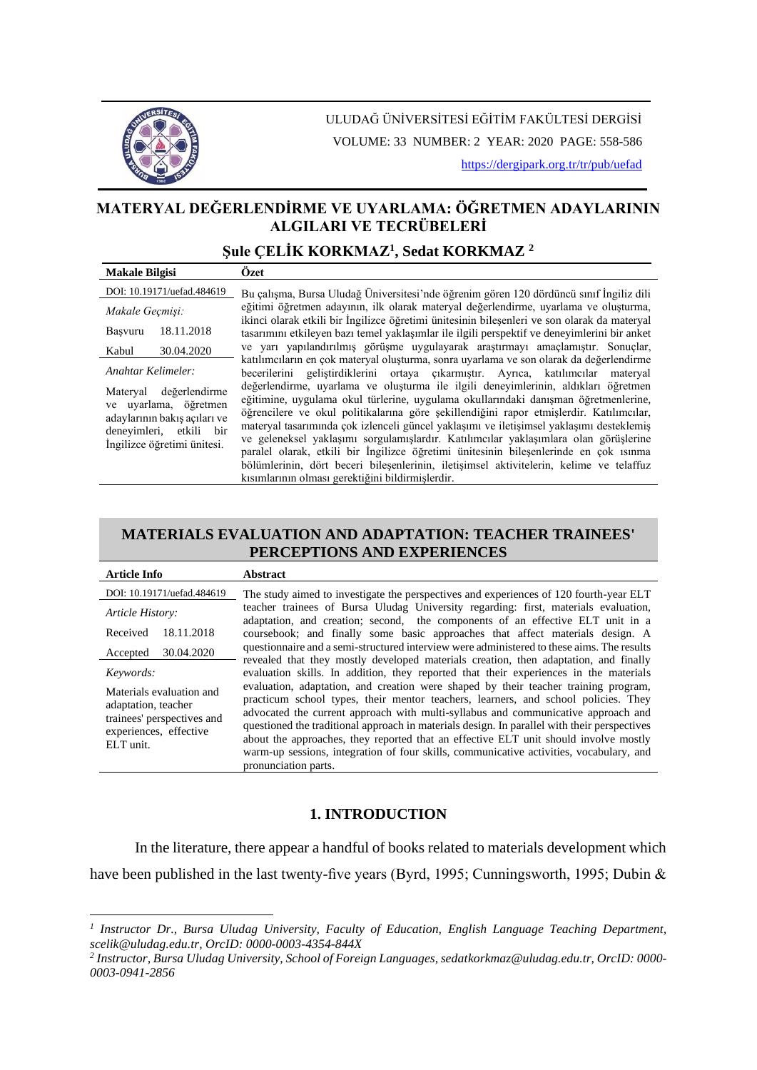

ULUDAĞ ÜNİVERSİTESİ EĞİTİM FAKÜLTESİ DERGİSİ VOLUME: 33 NUMBER: 2 YEAR: 2020 PAGE: 558-586

<https://dergipark.org.tr/tr/pub/uefad>

# **MATERYAL DEĞERLENDİRME VE UYARLAMA: ÖĞRETMEN ADAYLARININ ALGILARI VE TECRÜBELERİ**

# **Şule ÇELİK KORKMAZ<sup>1</sup> , Sedat KORKMAZ <sup>2</sup>**

| <b>Makale Bilgisi</b>                                                                                                                     | Özet                                                                                                                                                                                                                                                                                                                                                                                                                                                                                                                                                                                                                                                                                             |  |  |  |  |  |
|-------------------------------------------------------------------------------------------------------------------------------------------|--------------------------------------------------------------------------------------------------------------------------------------------------------------------------------------------------------------------------------------------------------------------------------------------------------------------------------------------------------------------------------------------------------------------------------------------------------------------------------------------------------------------------------------------------------------------------------------------------------------------------------------------------------------------------------------------------|--|--|--|--|--|
| DOI: 10.19171/uefad.484619                                                                                                                | Bu çalışma, Bursa Uludağ Üniversitesi'nde öğrenim gören 120 dördüncü sınıf İngiliz dili                                                                                                                                                                                                                                                                                                                                                                                                                                                                                                                                                                                                          |  |  |  |  |  |
| Makale Geçmişi:                                                                                                                           | eğitimi öğretmen adayının, ilk olarak materyal değerlendirme, uyarlama ve olusturma,                                                                                                                                                                                                                                                                                                                                                                                                                                                                                                                                                                                                             |  |  |  |  |  |
| 18.11.2018<br>Başvuru                                                                                                                     | ikinci olarak etkili bir İngilizce öğretimi ünitesinin bilesenleri ve son olarak da materyal<br>tasarımını etkileyen bazı temel yaklaşımlar ile ilgili perspektif ve deneyimlerini bir anket                                                                                                                                                                                                                                                                                                                                                                                                                                                                                                     |  |  |  |  |  |
| 30.04.2020<br>Kabul                                                                                                                       | ve yarı yapılandırılmıs görüsme uygulayarak arastırmayı amaclamıstır. Sonuclar,                                                                                                                                                                                                                                                                                                                                                                                                                                                                                                                                                                                                                  |  |  |  |  |  |
| Anahtar Kelimeler:                                                                                                                        | katılımcıların en çok materyal oluşturma, sonra uyarlama ve son olarak da değerlendirme<br>becerilerini gelistirdiklerini ortaya cıkarmıştır. Ayrıca, katılımcılar materyal                                                                                                                                                                                                                                                                                                                                                                                                                                                                                                                      |  |  |  |  |  |
| Materyal değerlendirme<br>ve uyarlama, öğretmen<br>adaylarının bakıs açıları ve<br>deneyimleri, etkili bir<br>Ingilizce öğretimi ünitesi. | değerlendirme, uyarlama ve oluşturma ile ilgili deneyimlerinin, aldıkları öğretmen<br>eğitimine, uygulama okul türlerine, uygulama okullarındaki danışman öğretmenlerine,<br>öğrencilere ve okul politikalarına göre şekillendiğini rapor etmişlerdir. Katılımcılar,<br>materyal tasarımında çok izlenceli güncel yaklasımı ve iletisimsel yaklasımı desteklemis<br>ve geleneksel yaklaşımı sorgulamışlardır. Katılımcılar yaklaşımlara olan görüşlerine<br>paralel olarak, etkili bir İngilizce öğretimi ünitesinin bilesenlerinde en çok ısınma<br>bölümlerinin, dört beceri bileşenlerinin, iletişimsel aktivitelerin, kelime ve telaffuz<br>kısımlarının olması gerektiğini bildirmişlerdir. |  |  |  |  |  |

## **MATERIALS EVALUATION AND ADAPTATION: TEACHER TRAINEES' PERCEPTIONS AND EXPERIENCES**

| <b>Article Info</b>                                                                                                  | <b>Abstract</b>                                                                                                                                                                                                                                                                                                                                                                                                                                                                                                                                                           |
|----------------------------------------------------------------------------------------------------------------------|---------------------------------------------------------------------------------------------------------------------------------------------------------------------------------------------------------------------------------------------------------------------------------------------------------------------------------------------------------------------------------------------------------------------------------------------------------------------------------------------------------------------------------------------------------------------------|
| DOI: 10.19171/uefad.484619                                                                                           | The study aimed to investigate the perspectives and experiences of 120 fourth-year ELT                                                                                                                                                                                                                                                                                                                                                                                                                                                                                    |
| Article History:                                                                                                     | teacher trainees of Bursa Uludag University regarding: first, materials evaluation,                                                                                                                                                                                                                                                                                                                                                                                                                                                                                       |
| 18.11.2018<br>Received                                                                                               | adaptation, and creation; second, the components of an effective ELT unit in a<br>coursebook; and finally some basic approaches that affect materials design. A                                                                                                                                                                                                                                                                                                                                                                                                           |
| 30.04.2020<br>Accepted                                                                                               | questionnaire and a semi-structured interview were administered to these aims. The results<br>revealed that they mostly developed materials creation, then adaptation, and finally                                                                                                                                                                                                                                                                                                                                                                                        |
| Keywords:                                                                                                            | evaluation skills. In addition, they reported that their experiences in the materials                                                                                                                                                                                                                                                                                                                                                                                                                                                                                     |
| Materials evaluation and<br>adaptation, teacher<br>trainees' perspectives and<br>experiences, effective<br>ELT unit. | evaluation, adaptation, and creation were shaped by their teacher training program,<br>practicum school types, their mentor teachers, learners, and school policies. They<br>advocated the current approach with multi-syllabus and communicative approach and<br>questioned the traditional approach in materials design. In parallel with their perspectives<br>about the approaches, they reported that an effective ELT unit should involve mostly<br>warm-up sessions, integration of four skills, communicative activities, vocabulary, and<br>pronunciation parts. |

# **1. INTRODUCTION**

In the literature, there appear a handful of books related to materials development which have been published in the last twenty-five years (Byrd, 1995; Cunningsworth, 1995; Dubin &

*<sup>1</sup> Instructor Dr., Bursa Uludag University, Faculty of Education, English Language Teaching Department, scelik@uludag.edu.tr, OrcID: 0000-0003-4354-844X*

*<sup>2</sup> Instructor, Bursa Uludag University, School of Foreign Languages, sedatkorkmaz@uludag.edu.tr, OrcID: 0000- 0003-0941-2856*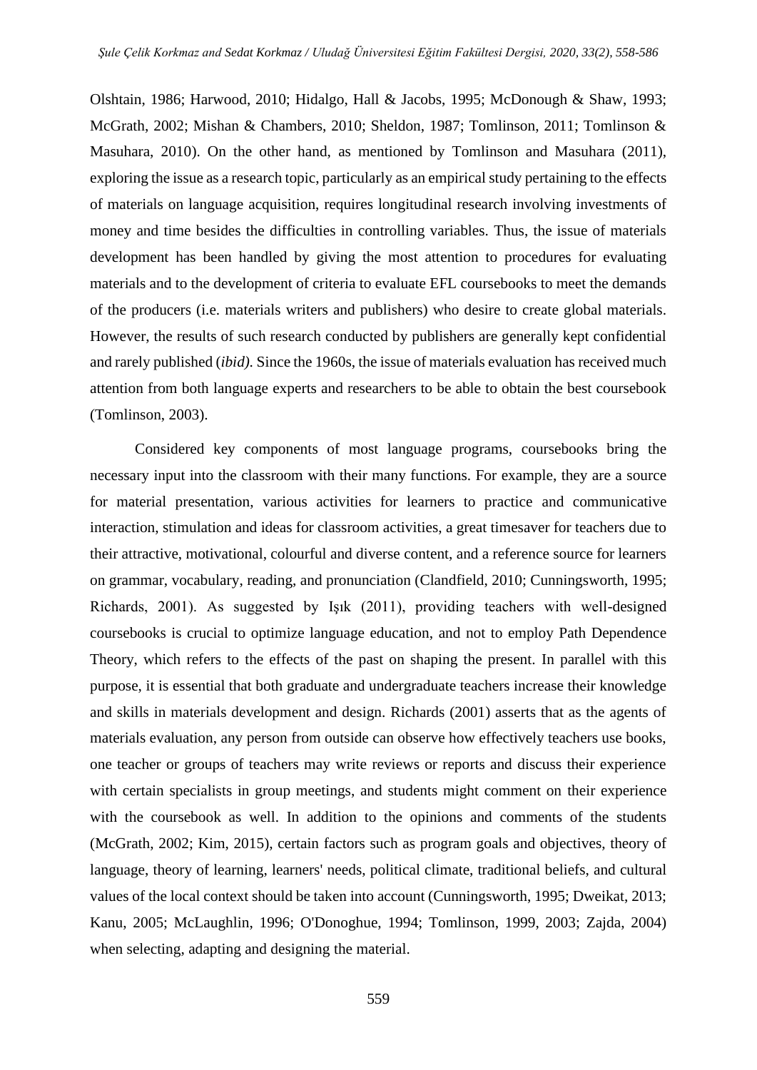Olshtain, 1986; Harwood, 2010; Hidalgo, Hall & Jacobs, 1995; McDonough & Shaw, 1993; McGrath, 2002; Mishan & Chambers, 2010; Sheldon, 1987; Tomlinson, 2011; Tomlinson & Masuhara, 2010). On the other hand, as mentioned by Tomlinson and Masuhara (2011), exploring the issue as a research topic, particularly as an empirical study pertaining to the effects of materials on language acquisition, requires longitudinal research involving investments of money and time besides the difficulties in controlling variables. Thus, the issue of materials development has been handled by giving the most attention to procedures for evaluating materials and to the development of criteria to evaluate EFL coursebooks to meet the demands of the producers (i.e. materials writers and publishers) who desire to create global materials. However, the results of such research conducted by publishers are generally kept confidential and rarely published (*ibid).* Since the 1960s, the issue of materials evaluation has received much attention from both language experts and researchers to be able to obtain the best coursebook (Tomlinson, 2003).

Considered key components of most language programs, coursebooks bring the necessary input into the classroom with their many functions. For example, they are a source for material presentation, various activities for learners to practice and communicative interaction, stimulation and ideas for classroom activities, a great timesaver for teachers due to their attractive, motivational, colourful and diverse content, and a reference source for learners on grammar, vocabulary, reading, and pronunciation (Clandfield, 2010; Cunningsworth, 1995; Richards, 2001). As suggested by Işık (2011), providing teachers with well-designed coursebooks is crucial to optimize language education, and not to employ Path Dependence Theory, which refers to the effects of the past on shaping the present. In parallel with this purpose, it is essential that both graduate and undergraduate teachers increase their knowledge and skills in materials development and design. Richards (2001) asserts that as the agents of materials evaluation, any person from outside can observe how effectively teachers use books, one teacher or groups of teachers may write reviews or reports and discuss their experience with certain specialists in group meetings, and students might comment on their experience with the coursebook as well. In addition to the opinions and comments of the students (McGrath, 2002; Kim, 2015), certain factors such as program goals and objectives, theory of language, theory of learning, learners' needs, political climate, traditional beliefs, and cultural values of the local context should be taken into account (Cunningsworth, 1995; Dweikat, 2013; Kanu, 2005; McLaughlin, 1996; O'Donoghue, 1994; Tomlinson, 1999, 2003; Zajda, 2004) when selecting, adapting and designing the material.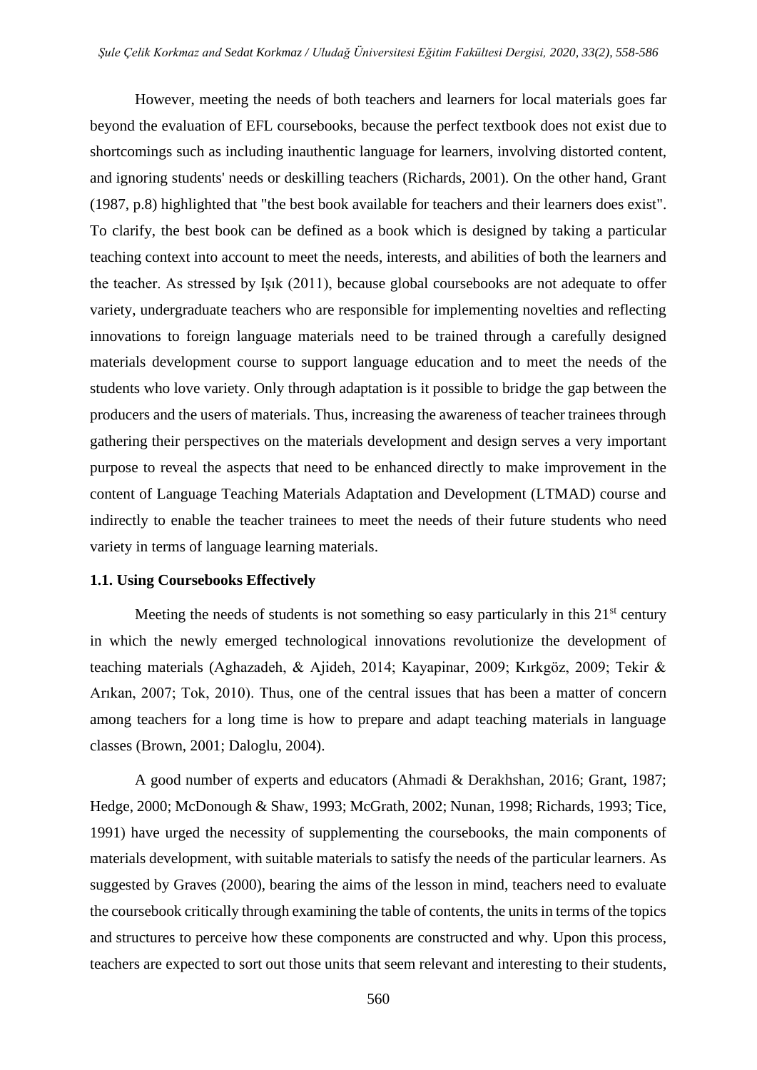However, meeting the needs of both teachers and learners for local materials goes far beyond the evaluation of EFL coursebooks, because the perfect textbook does not exist due to shortcomings such as including inauthentic language for learners, involving distorted content, and ignoring students' needs or deskilling teachers (Richards, 2001). On the other hand, Grant (1987, p.8) highlighted that "the best book available for teachers and their learners does exist". To clarify, the best book can be defined as a book which is designed by taking a particular teaching context into account to meet the needs, interests, and abilities of both the learners and the teacher. As stressed by Işık (2011), because global coursebooks are not adequate to offer variety, undergraduate teachers who are responsible for implementing novelties and reflecting innovations to foreign language materials need to be trained through a carefully designed materials development course to support language education and to meet the needs of the students who love variety. Only through adaptation is it possible to bridge the gap between the producers and the users of materials. Thus, increasing the awareness of teacher trainees through gathering their perspectives on the materials development and design serves a very important purpose to reveal the aspects that need to be enhanced directly to make improvement in the content of Language Teaching Materials Adaptation and Development (LTMAD) course and indirectly to enable the teacher trainees to meet the needs of their future students who need variety in terms of language learning materials.

## **1.1. Using Coursebooks Effectively**

Meeting the needs of students is not something so easy particularly in this  $21<sup>st</sup>$  century in which the newly emerged technological innovations revolutionize the development of teaching materials (Aghazadeh, & Ajideh, 2014; Kayapinar, 2009; Kırkgöz, 2009; Tekir & Arıkan, 2007; Tok, 2010). Thus, one of the central issues that has been a matter of concern among teachers for a long time is how to prepare and adapt teaching materials in language classes (Brown, 2001; Daloglu, 2004).

A good number of experts and educators (Ahmadi & Derakhshan, 2016; Grant, 1987; Hedge, 2000; McDonough & Shaw, 1993; McGrath, 2002; Nunan, 1998; Richards, 1993; Tice, 1991) have urged the necessity of supplementing the coursebooks, the main components of materials development, with suitable materials to satisfy the needs of the particular learners. As suggested by Graves (2000), bearing the aims of the lesson in mind, teachers need to evaluate the coursebook critically through examining the table of contents, the units in terms of the topics and structures to perceive how these components are constructed and why. Upon this process, teachers are expected to sort out those units that seem relevant and interesting to their students,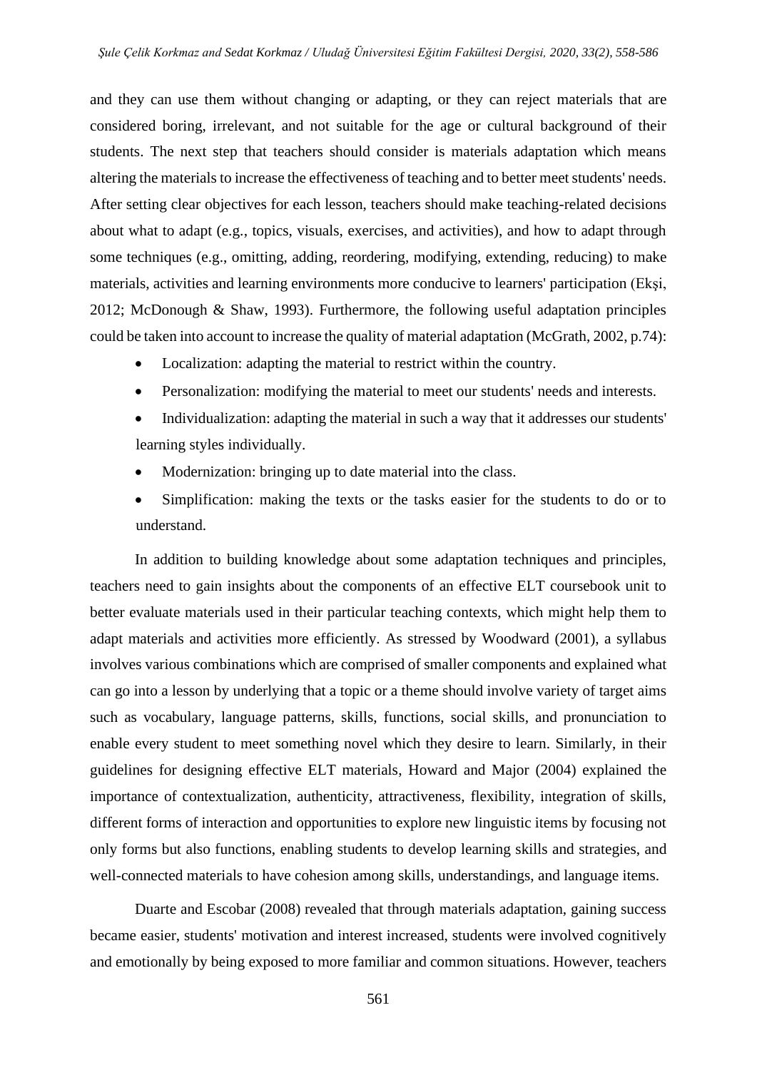and they can use them without changing or adapting, or they can reject materials that are considered boring, irrelevant, and not suitable for the age or cultural background of their students. The next step that teachers should consider is materials adaptation which means altering the materials to increase the effectiveness of teaching and to better meet students' needs. After setting clear objectives for each lesson, teachers should make teaching-related decisions about what to adapt (e.g., topics, visuals, exercises, and activities), and how to adapt through some techniques (e.g., omitting, adding, reordering, modifying, extending, reducing) to make materials, activities and learning environments more conducive to learners' participation (Ekşi, 2012; McDonough & Shaw, 1993). Furthermore, the following useful adaptation principles could be taken into account to increase the quality of material adaptation (McGrath, 2002, p.74):

- Localization: adapting the material to restrict within the country.
- Personalization: modifying the material to meet our students' needs and interests.
- Individualization: adapting the material in such a way that it addresses our students' learning styles individually.
- Modernization: bringing up to date material into the class.
- Simplification: making the texts or the tasks easier for the students to do or to understand.

In addition to building knowledge about some adaptation techniques and principles, teachers need to gain insights about the components of an effective ELT coursebook unit to better evaluate materials used in their particular teaching contexts, which might help them to adapt materials and activities more efficiently. As stressed by Woodward (2001), a syllabus involves various combinations which are comprised of smaller components and explained what can go into a lesson by underlying that a topic or a theme should involve variety of target aims such as vocabulary, language patterns, skills, functions, social skills, and pronunciation to enable every student to meet something novel which they desire to learn. Similarly, in their guidelines for designing effective ELT materials, Howard and Major (2004) explained the importance of contextualization, authenticity, attractiveness, flexibility, integration of skills, different forms of interaction and opportunities to explore new linguistic items by focusing not only forms but also functions, enabling students to develop learning skills and strategies, and well-connected materials to have cohesion among skills, understandings, and language items.

Duarte and Escobar (2008) revealed that through materials adaptation, gaining success became easier, students' motivation and interest increased, students were involved cognitively and emotionally by being exposed to more familiar and common situations. However, teachers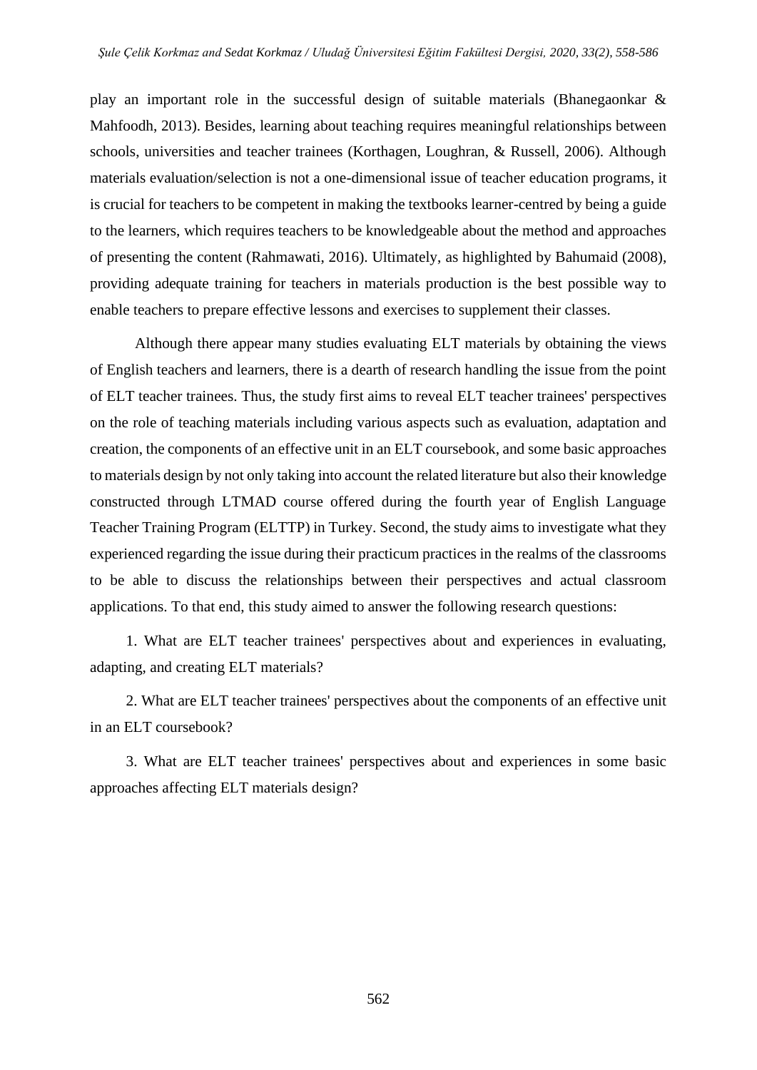play an important role in the successful design of suitable materials (Bhanegaonkar & Mahfoodh, 2013). Besides, learning about teaching requires meaningful relationships between schools, universities and teacher trainees (Korthagen, Loughran, & Russell, 2006). Although materials evaluation/selection is not a one-dimensional issue of teacher education programs, it is crucial for teachers to be competent in making the textbooks learner-centred by being a guide to the learners, which requires teachers to be knowledgeable about the method and approaches of presenting the content (Rahmawati, 2016). Ultimately, as highlighted by Bahumaid (2008), providing adequate training for teachers in materials production is the best possible way to enable teachers to prepare effective lessons and exercises to supplement their classes.

Although there appear many studies evaluating ELT materials by obtaining the views of English teachers and learners, there is a dearth of research handling the issue from the point of ELT teacher trainees. Thus, the study first aims to reveal ELT teacher trainees' perspectives on the role of teaching materials including various aspects such as evaluation, adaptation and creation, the components of an effective unit in an ELT coursebook, and some basic approaches to materials design by not only taking into account the related literature but also their knowledge constructed through LTMAD course offered during the fourth year of English Language Teacher Training Program (ELTTP) in Turkey. Second, the study aims to investigate what they experienced regarding the issue during their practicum practices in the realms of the classrooms to be able to discuss the relationships between their perspectives and actual classroom applications. To that end, this study aimed to answer the following research questions:

1. What are ELT teacher trainees' perspectives about and experiences in evaluating, adapting, and creating ELT materials?

2. What are ELT teacher trainees' perspectives about the components of an effective unit in an ELT coursebook?

3. What are ELT teacher trainees' perspectives about and experiences in some basic approaches affecting ELT materials design?

562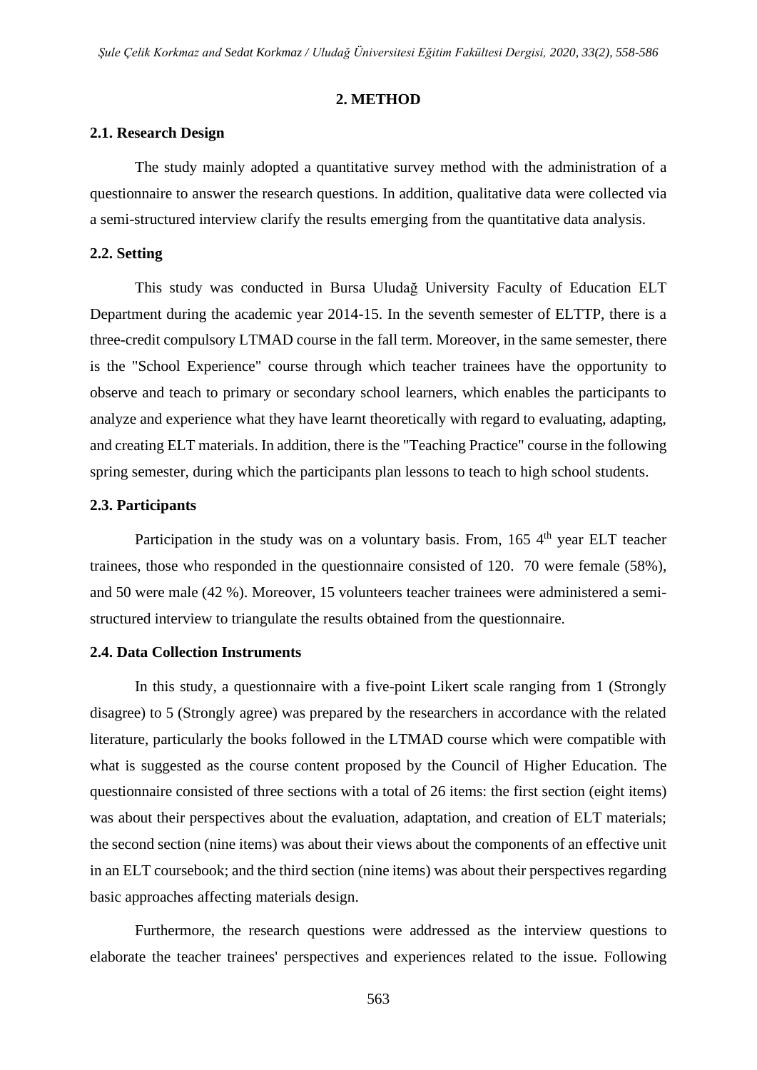## **2. METHOD**

## **2.1. Research Design**

The study mainly adopted a quantitative survey method with the administration of a questionnaire to answer the research questions. In addition, qualitative data were collected via a semi-structured interview clarify the results emerging from the quantitative data analysis.

#### **2.2. Setting**

This study was conducted in Bursa Uludağ University Faculty of Education ELT Department during the academic year 2014-15. In the seventh semester of ELTTP, there is a three-credit compulsory LTMAD course in the fall term. Moreover, in the same semester, there is the "School Experience" course through which teacher trainees have the opportunity to observe and teach to primary or secondary school learners, which enables the participants to analyze and experience what they have learnt theoretically with regard to evaluating, adapting, and creating ELT materials. In addition, there is the "Teaching Practice" course in the following spring semester, during which the participants plan lessons to teach to high school students.

## **2.3. Participants**

Participation in the study was on a voluntary basis. From, 165 4<sup>th</sup> year ELT teacher trainees, those who responded in the questionnaire consisted of 120. 70 were female (58%), and 50 were male (42 %). Moreover, 15 volunteers teacher trainees were administered a semistructured interview to triangulate the results obtained from the questionnaire.

### **2.4. Data Collection Instruments**

In this study, a questionnaire with a five-point Likert scale ranging from 1 (Strongly disagree) to 5 (Strongly agree) was prepared by the researchers in accordance with the related literature, particularly the books followed in the LTMAD course which were compatible with what is suggested as the course content proposed by the Council of Higher Education. The questionnaire consisted of three sections with a total of 26 items: the first section (eight items) was about their perspectives about the evaluation, adaptation, and creation of ELT materials; the second section (nine items) was about their views about the components of an effective unit in an ELT coursebook; and the third section (nine items) was about their perspectives regarding basic approaches affecting materials design.

Furthermore, the research questions were addressed as the interview questions to elaborate the teacher trainees' perspectives and experiences related to the issue. Following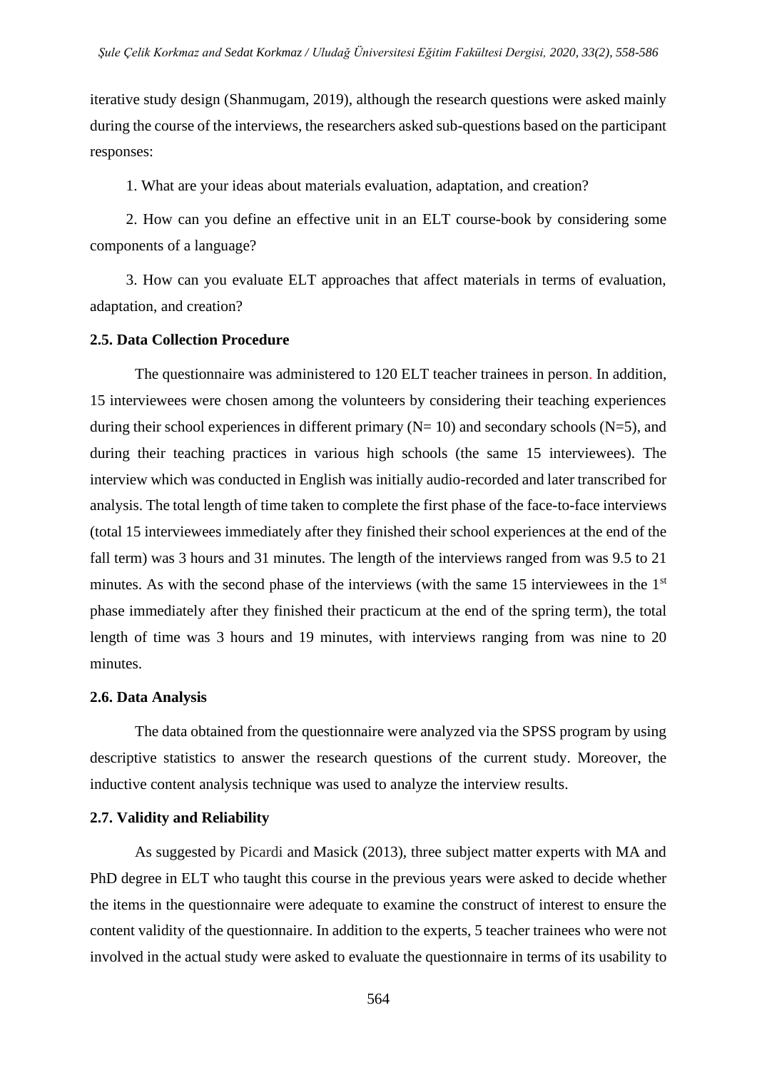iterative study design (Shanmugam, 2019), although the research questions were asked mainly during the course of the interviews, the researchers asked sub-questions based on the participant responses:

1. What are your ideas about materials evaluation, adaptation, and creation?

2. How can you define an effective unit in an ELT course-book by considering some components of a language?

3. How can you evaluate ELT approaches that affect materials in terms of evaluation, adaptation, and creation?

## **2.5. Data Collection Procedure**

The questionnaire was administered to 120 ELT teacher trainees in person. In addition, 15 interviewees were chosen among the volunteers by considering their teaching experiences during their school experiences in different primary  $(N= 10)$  and secondary schools  $(N=5)$ , and during their teaching practices in various high schools (the same 15 interviewees). The interview which was conducted in English was initially audio-recorded and later transcribed for analysis. The total length of time taken to complete the first phase of the face-to-face interviews (total 15 interviewees immediately after they finished their school experiences at the end of the fall term) was 3 hours and 31 minutes. The length of the interviews ranged from was 9.5 to 21 minutes. As with the second phase of the interviews (with the same 15 interviewees in the 1<sup>st</sup> phase immediately after they finished their practicum at the end of the spring term), the total length of time was 3 hours and 19 minutes, with interviews ranging from was nine to 20 minutes.

#### **2.6. Data Analysis**

The data obtained from the questionnaire were analyzed via the SPSS program by using descriptive statistics to answer the research questions of the current study. Moreover, the inductive content analysis technique was used to analyze the interview results.

#### **2.7. Validity and Reliability**

As suggested by Picardi and Masick (2013), three subject matter experts with MA and PhD degree in ELT who taught this course in the previous years were asked to decide whether the items in the questionnaire were adequate to examine the construct of interest to ensure the content validity of the questionnaire. In addition to the experts, 5 teacher trainees who were not involved in the actual study were asked to evaluate the questionnaire in terms of its usability to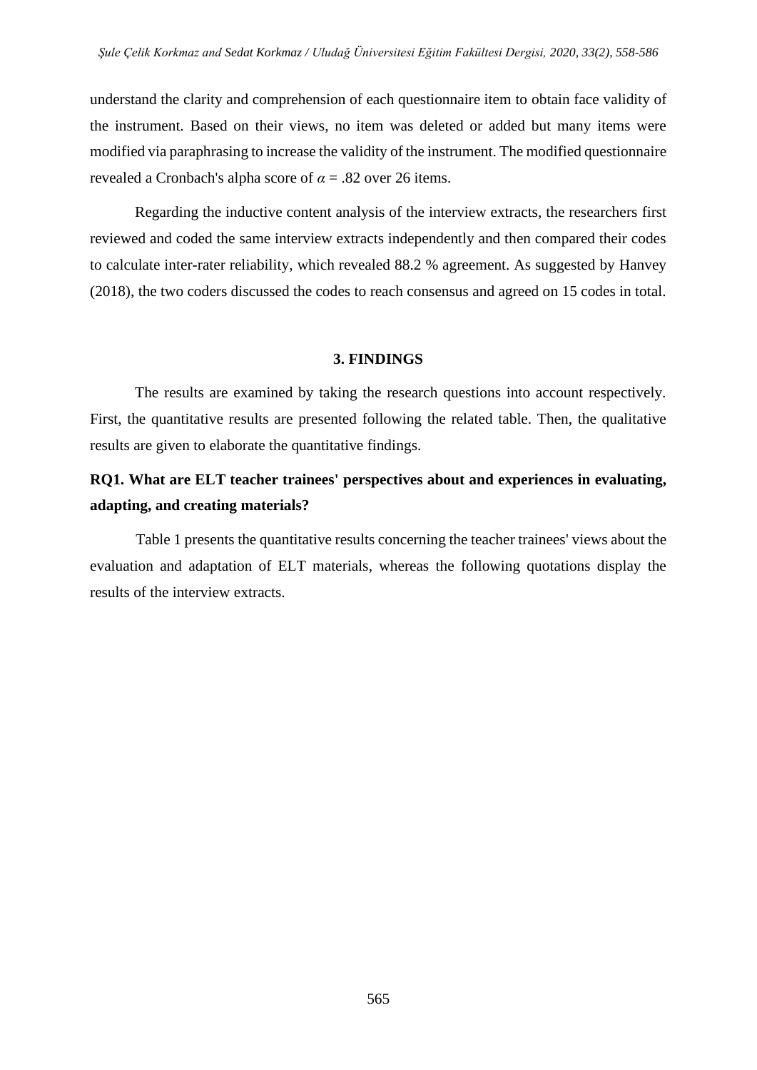understand the clarity and comprehension of each questionnaire item to obtain face validity of the instrument. Based on their views, no item was deleted or added but many items were modified via paraphrasing to increase the validity of the instrument. The modified questionnaire revealed a Cronbach's alpha score of  $\alpha$  = .82 over 26 items.

Regarding the inductive content analysis of the interview extracts, the researchers first reviewed and coded the same interview extracts independently and then compared their codes to calculate inter-rater reliability, which revealed 88.2 % agreement. As suggested by Hanvey (2018), the two coders discussed the codes to reach consensus and agreed on 15 codes in total.

## **3. FINDINGS**

The results are examined by taking the research questions into account respectively. First, the quantitative results are presented following the related table. Then, the qualitative results are given to elaborate the quantitative findings.

# **RQ1. What are ELT teacher trainees' perspectives about and experiences in evaluating, adapting, and creating materials?**

Table 1 presents the quantitative results concerning the teacher trainees' views about the evaluation and adaptation of ELT materials, whereas the following quotations display the results of the interview extracts.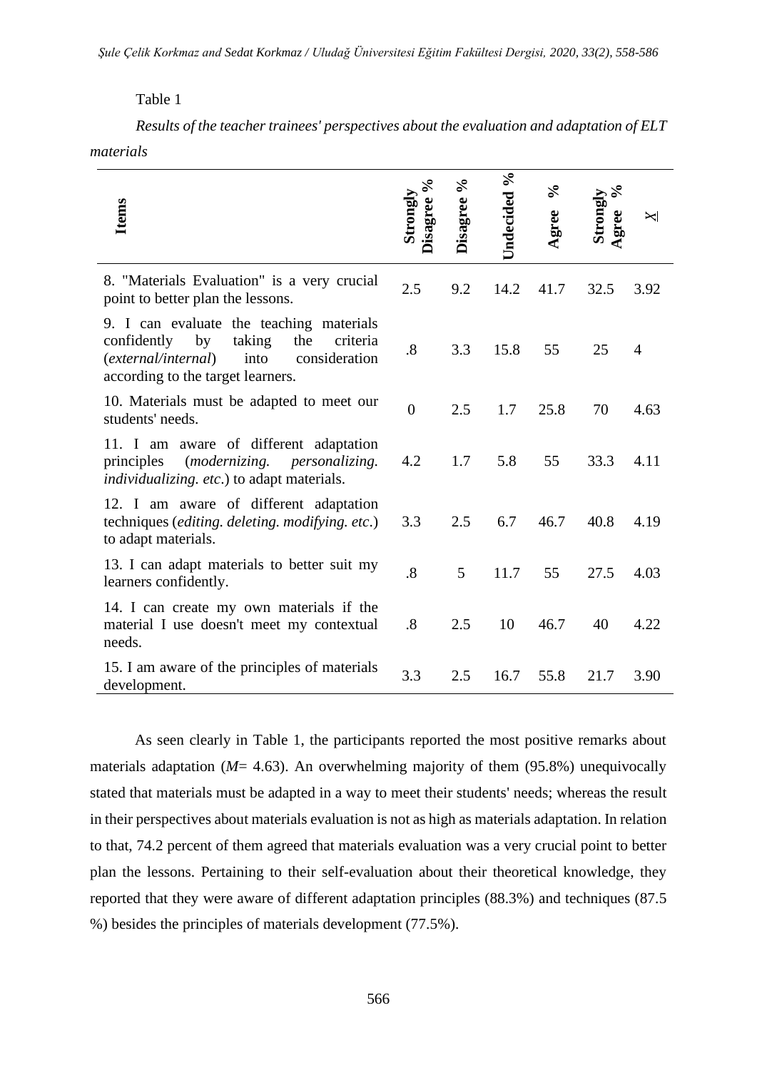# Table 1

*Results of the teacher trainees' perspectives about the evaluation and adaptation of ELT materials*

| <b>Items</b>                                                                                                                                                                    | Strongly<br>Disagree | Disagree % | Undecided % | $\sqrt{6}$<br>gree | Strongly<br>Agree | $\Join$        |
|---------------------------------------------------------------------------------------------------------------------------------------------------------------------------------|----------------------|------------|-------------|--------------------|-------------------|----------------|
| 8. "Materials Evaluation" is a very crucial<br>point to better plan the lessons.                                                                                                | 2.5                  | 9.2        | 14.2        | 41.7               | 32.5              | 3.92           |
| 9. I can evaluate the teaching materials<br>taking<br>confidently<br>by<br>the<br>criteria<br>consideration<br>(external/internal)<br>into<br>according to the target learners. | .8                   | 3.3        | 15.8        | 55                 | 25                | $\overline{4}$ |
| 10. Materials must be adapted to meet our<br>students' needs.                                                                                                                   | $\overline{0}$       | 2.5        | 1.7         | 25.8               | 70                | 4.63           |
| 11. I am aware of different adaptation<br><i>(modernizing.</i><br>principles<br><i>personalizing.</i><br>individualizing. etc.) to adapt materials.                             | 4.2                  | 1.7        | 5.8         | 55                 | 33.3              | 4.11           |
| 12. I am aware of different adaptation<br>techniques (editing. deleting. modifying. etc.)<br>to adapt materials.                                                                | 3.3                  | 2.5        | 6.7         | 46.7               | 40.8              | 4.19           |
| 13. I can adapt materials to better suit my<br>learners confidently.                                                                                                            | .8                   | 5          | 11.7        | 55                 | 27.5              | 4.03           |
| 14. I can create my own materials if the<br>material I use doesn't meet my contextual<br>needs.                                                                                 | .8                   | 2.5        | 10          | 46.7               | 40                | 4.22           |
| 15. I am aware of the principles of materials<br>development.                                                                                                                   | 3.3                  | 2.5        | 16.7        | 55.8               | 21.7              | 3.90           |

As seen clearly in Table 1, the participants reported the most positive remarks about materials adaptation (*M*= 4.63). An overwhelming majority of them (95.8%) unequivocally stated that materials must be adapted in a way to meet their students' needs; whereas the result in their perspectives about materials evaluation is not as high as materials adaptation. In relation to that, 74.2 percent of them agreed that materials evaluation was a very crucial point to better plan the lessons. Pertaining to their self-evaluation about their theoretical knowledge, they reported that they were aware of different adaptation principles (88.3%) and techniques (87.5 %) besides the principles of materials development (77.5%).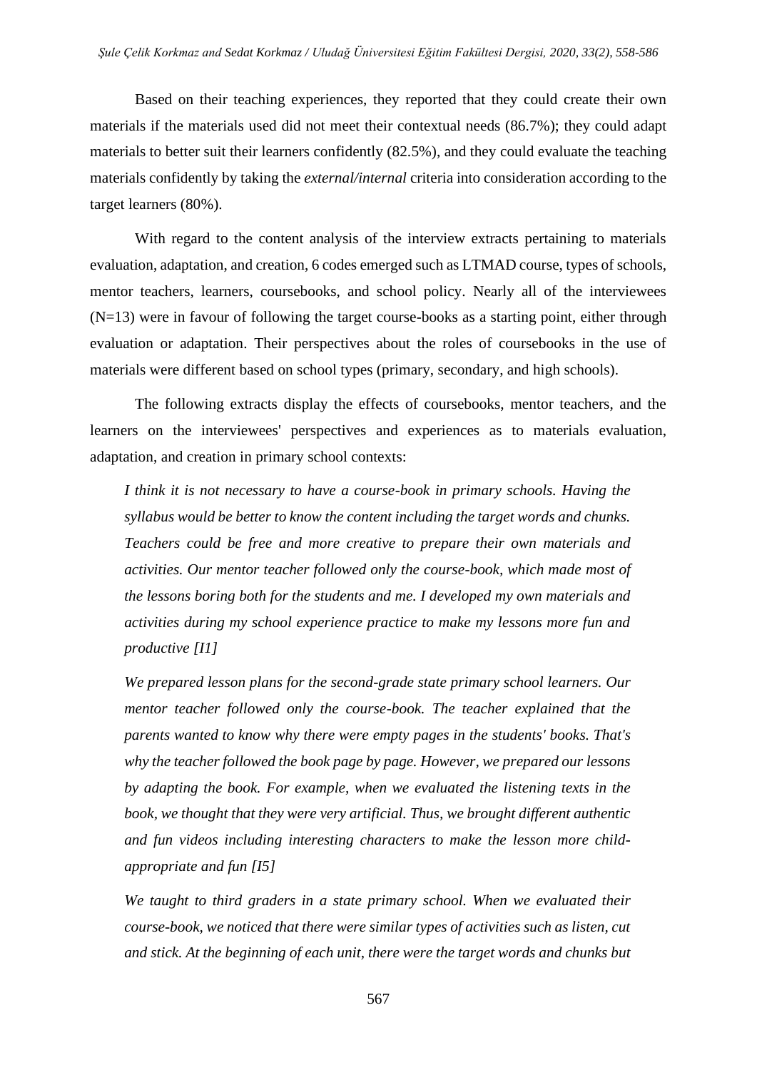Based on their teaching experiences, they reported that they could create their own materials if the materials used did not meet their contextual needs (86.7%); they could adapt materials to better suit their learners confidently (82.5%), and they could evaluate the teaching materials confidently by taking the *external/internal* criteria into consideration according to the target learners (80%).

With regard to the content analysis of the interview extracts pertaining to materials evaluation, adaptation, and creation, 6 codes emerged such as LTMAD course, types of schools, mentor teachers, learners, coursebooks, and school policy. Nearly all of the interviewees (N=13) were in favour of following the target course-books as a starting point, either through evaluation or adaptation. Their perspectives about the roles of coursebooks in the use of materials were different based on school types (primary, secondary, and high schools).

The following extracts display the effects of coursebooks, mentor teachers, and the learners on the interviewees' perspectives and experiences as to materials evaluation, adaptation, and creation in primary school contexts:

*I think it is not necessary to have a course-book in primary schools. Having the syllabus would be better to know the content including the target words and chunks. Teachers could be free and more creative to prepare their own materials and activities. Our mentor teacher followed only the course-book, which made most of the lessons boring both for the students and me. I developed my own materials and activities during my school experience practice to make my lessons more fun and productive [I1]*

*We prepared lesson plans for the second-grade state primary school learners. Our mentor teacher followed only the course-book. The teacher explained that the parents wanted to know why there were empty pages in the students' books. That's why the teacher followed the book page by page. However, we prepared our lessons by adapting the book. For example, when we evaluated the listening texts in the book, we thought that they were very artificial. Thus, we brought different authentic and fun videos including interesting characters to make the lesson more childappropriate and fun [I5]*

*We taught to third graders in a state primary school. When we evaluated their course-book, we noticed that there were similar types of activities such as listen, cut and stick. At the beginning of each unit, there were the target words and chunks but*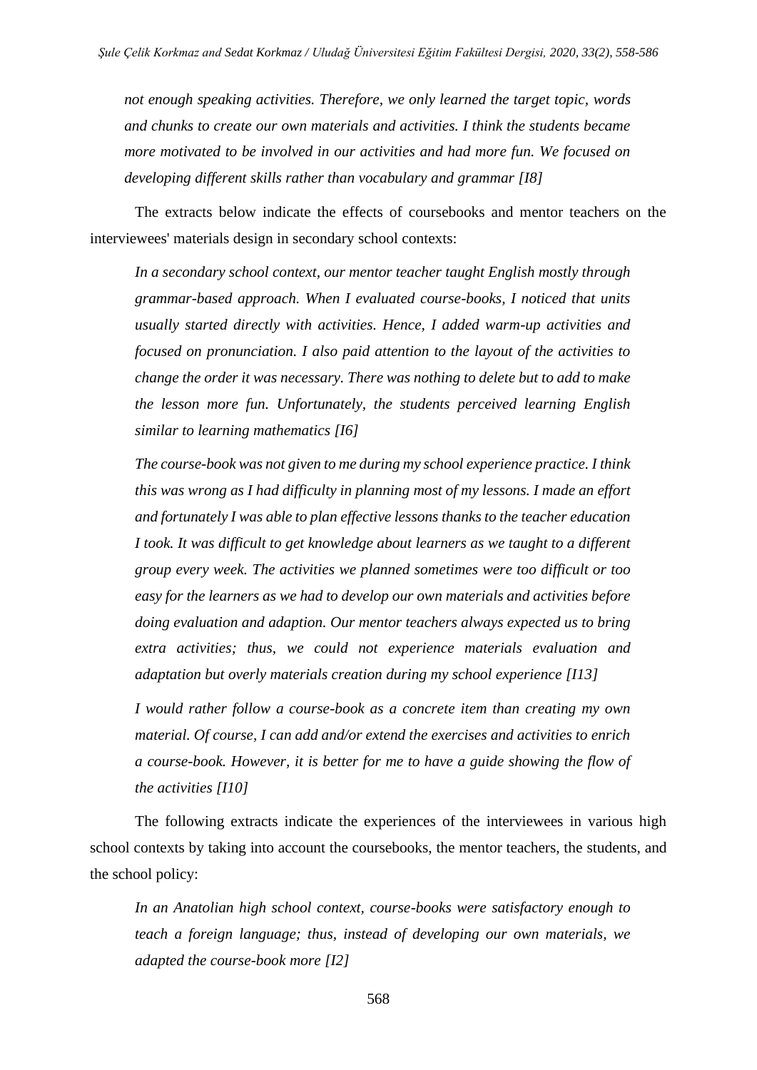*not enough speaking activities. Therefore, we only learned the target topic, words and chunks to create our own materials and activities. I think the students became more motivated to be involved in our activities and had more fun. We focused on developing different skills rather than vocabulary and grammar [I8]*

The extracts below indicate the effects of coursebooks and mentor teachers on the interviewees' materials design in secondary school contexts:

*In a secondary school context, our mentor teacher taught English mostly through grammar-based approach. When I evaluated course-books, I noticed that units usually started directly with activities. Hence, I added warm-up activities and focused on pronunciation. I also paid attention to the layout of the activities to change the order it was necessary. There was nothing to delete but to add to make the lesson more fun. Unfortunately, the students perceived learning English similar to learning mathematics [I6]*

*The course-book was not given to me during my school experience practice. I think this was wrong as I had difficulty in planning most of my lessons. I made an effort and fortunately I was able to plan effective lessons thanks to the teacher education I took. It was difficult to get knowledge about learners as we taught to a different group every week. The activities we planned sometimes were too difficult or too easy for the learners as we had to develop our own materials and activities before doing evaluation and adaption. Our mentor teachers always expected us to bring extra activities; thus, we could not experience materials evaluation and adaptation but overly materials creation during my school experience [I13]*

*I would rather follow a course-book as a concrete item than creating my own material. Of course, I can add and/or extend the exercises and activities to enrich a course-book. However, it is better for me to have a guide showing the flow of the activities [I10]*

The following extracts indicate the experiences of the interviewees in various high school contexts by taking into account the coursebooks, the mentor teachers, the students, and the school policy:

*In an Anatolian high school context, course-books were satisfactory enough to teach a foreign language; thus, instead of developing our own materials, we adapted the course-book more [I2]*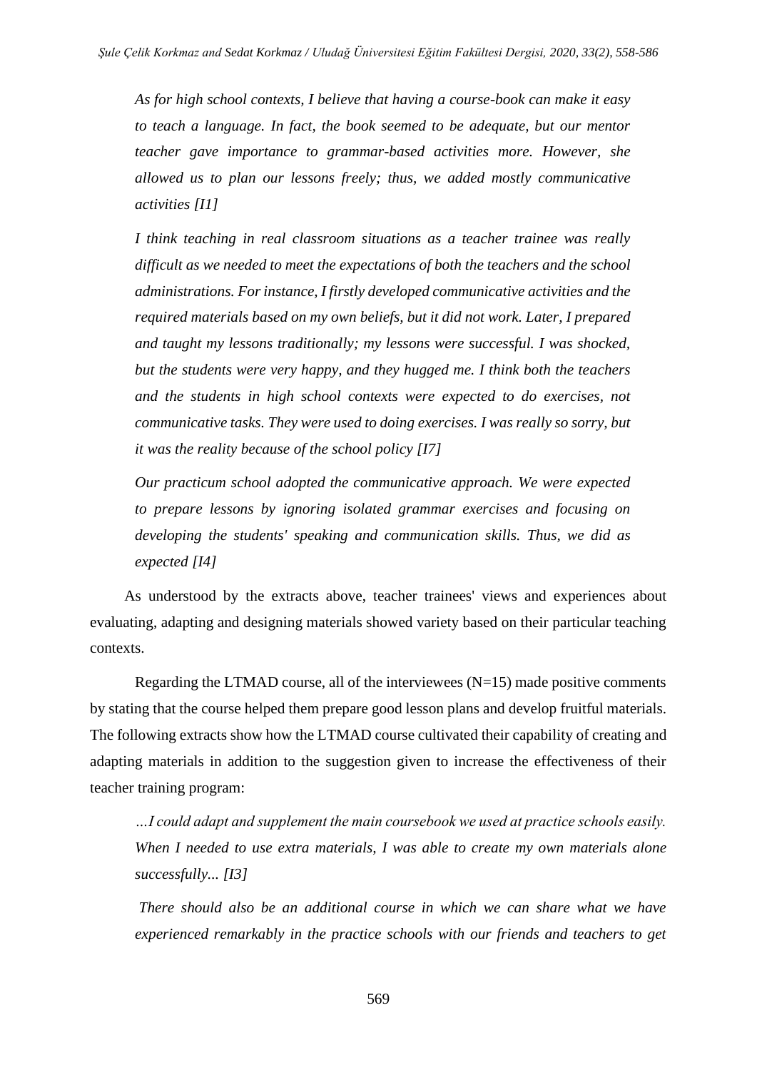*As for high school contexts, I believe that having a course-book can make it easy to teach a language. In fact, the book seemed to be adequate, but our mentor teacher gave importance to grammar-based activities more. However, she allowed us to plan our lessons freely; thus, we added mostly communicative activities [I1]*

*I think teaching in real classroom situations as a teacher trainee was really difficult as we needed to meet the expectations of both the teachers and the school administrations. For instance, I firstly developed communicative activities and the required materials based on my own beliefs, but it did not work. Later, I prepared and taught my lessons traditionally; my lessons were successful. I was shocked, but the students were very happy, and they hugged me. I think both the teachers and the students in high school contexts were expected to do exercises, not communicative tasks. They were used to doing exercises. I was really so sorry, but it was the reality because of the school policy [I7]* 

*Our practicum school adopted the communicative approach. We were expected to prepare lessons by ignoring isolated grammar exercises and focusing on developing the students' speaking and communication skills. Thus, we did as expected [I4]*

As understood by the extracts above, teacher trainees' views and experiences about evaluating, adapting and designing materials showed variety based on their particular teaching contexts.

Regarding the LTMAD course, all of the interviewees  $(N=15)$  made positive comments by stating that the course helped them prepare good lesson plans and develop fruitful materials. The following extracts show how the LTMAD course cultivated their capability of creating and adapting materials in addition to the suggestion given to increase the effectiveness of their teacher training program:

*…I could adapt and supplement the main coursebook we used at practice schools easily. When I needed to use extra materials, I was able to create my own materials alone successfully... [I3]*

*There should also be an additional course in which we can share what we have experienced remarkably in the practice schools with our friends and teachers to get*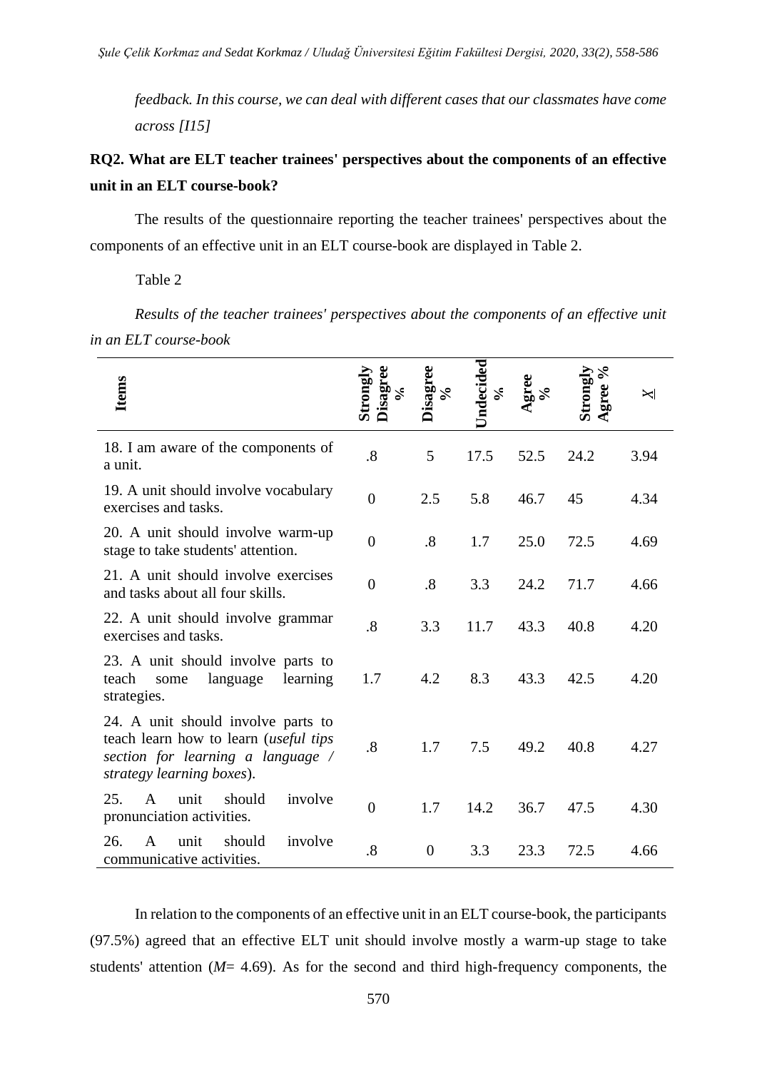*feedback. In this course, we can deal with different cases that our classmates have come across [I15]*

# **RQ2. What are ELT teacher trainees' perspectives about the components of an effective unit in an ELT course-book?**

The results of the questionnaire reporting the teacher trainees' perspectives about the components of an effective unit in an ELT course-book are displayed in Table 2.

Table 2

*Results of the teacher trainees' perspectives about the components of an effective unit in an ELT course-book*

| <b>Items</b>                                                                                                                                         | Disagree<br>Strong<br>క | isagree<br>$\mathcal{S}^{\bullet}$ | Indecided<br>న్ | $\mathop{\rm area}\limits_{\delta\infty}$ | Strong<br>Agree | $\Join$ |
|------------------------------------------------------------------------------------------------------------------------------------------------------|-------------------------|------------------------------------|-----------------|-------------------------------------------|-----------------|---------|
| 18. I am aware of the components of<br>a unit.                                                                                                       | .8                      | 5                                  | 17.5            | 52.5                                      | 24.2            | 3.94    |
| 19. A unit should involve vocabulary<br>exercises and tasks.                                                                                         | $\overline{0}$          | 2.5                                | 5.8             | 46.7                                      | 45              | 4.34    |
| 20. A unit should involve warm-up<br>stage to take students' attention.                                                                              | $\overline{0}$          | .8                                 | 1.7             | 25.0                                      | 72.5            | 4.69    |
| 21. A unit should involve exercises<br>and tasks about all four skills.                                                                              | $\boldsymbol{0}$        | .8                                 | 3.3             | 24.2                                      | 71.7            | 4.66    |
| 22. A unit should involve grammar<br>exercises and tasks.                                                                                            | .8                      | 3.3                                | 11.7            | 43.3                                      | 40.8            | 4.20    |
| 23. A unit should involve parts to<br>language<br>learning<br>teach<br>some<br>strategies.                                                           | 1.7                     | 4.2                                | 8.3             | 43.3                                      | 42.5            | 4.20    |
| 24. A unit should involve parts to<br>teach learn how to learn <i>(useful tips</i><br>section for learning a language /<br>strategy learning boxes). | .8                      | 1.7                                | 7.5             | 49.2                                      | 40.8            | 4.27    |
| 25.<br>$\mathsf{A}$<br>unit<br>should<br>involve<br>pronunciation activities.                                                                        | $\overline{0}$          | 1.7                                | 14.2            | 36.7                                      | 47.5            | 4.30    |
| should<br>involve<br>26.<br>unit<br>A<br>communicative activities.                                                                                   | .8                      | $\theta$                           | 3.3             | 23.3                                      | 72.5            | 4.66    |

In relation to the components of an effective unit in an ELT course-book, the participants (97.5%) agreed that an effective ELT unit should involve mostly a warm-up stage to take students' attention (*M*= 4.69). As for the second and third high-frequency components, the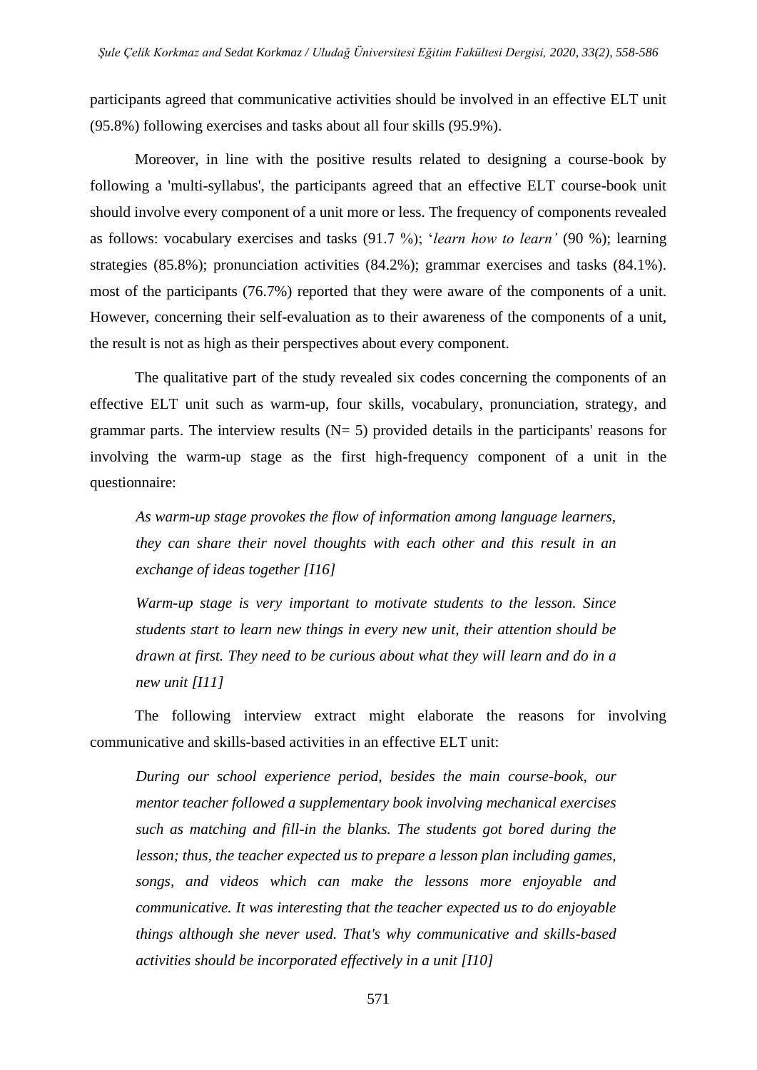participants agreed that communicative activities should be involved in an effective ELT unit (95.8%) following exercises and tasks about all four skills (95.9%).

Moreover, in line with the positive results related to designing a course-book by following a 'multi-syllabus', the participants agreed that an effective ELT course-book unit should involve every component of a unit more or less. The frequency of components revealed as follows: vocabulary exercises and tasks (91.7 %); '*learn how to learn'* (90 %); learning strategies (85.8%); pronunciation activities (84.2%); grammar exercises and tasks (84.1%). most of the participants (76.7%) reported that they were aware of the components of a unit. However, concerning their self-evaluation as to their awareness of the components of a unit, the result is not as high as their perspectives about every component.

The qualitative part of the study revealed six codes concerning the components of an effective ELT unit such as warm-up, four skills, vocabulary, pronunciation, strategy, and grammar parts. The interview results  $(N= 5)$  provided details in the participants' reasons for involving the warm-up stage as the first high-frequency component of a unit in the questionnaire:

*As warm-up stage provokes the flow of information among language learners, they can share their novel thoughts with each other and this result in an exchange of ideas together [I16]*

*Warm-up stage is very important to motivate students to the lesson. Since students start to learn new things in every new unit, their attention should be drawn at first. They need to be curious about what they will learn and do in a new unit [I11]* 

The following interview extract might elaborate the reasons for involving communicative and skills-based activities in an effective ELT unit:

*During our school experience period, besides the main course-book, our mentor teacher followed a supplementary book involving mechanical exercises such as matching and fill-in the blanks. The students got bored during the lesson; thus, the teacher expected us to prepare a lesson plan including games, songs, and videos which can make the lessons more enjoyable and communicative. It was interesting that the teacher expected us to do enjoyable things although she never used. That's why communicative and skills-based activities should be incorporated effectively in a unit [I10]*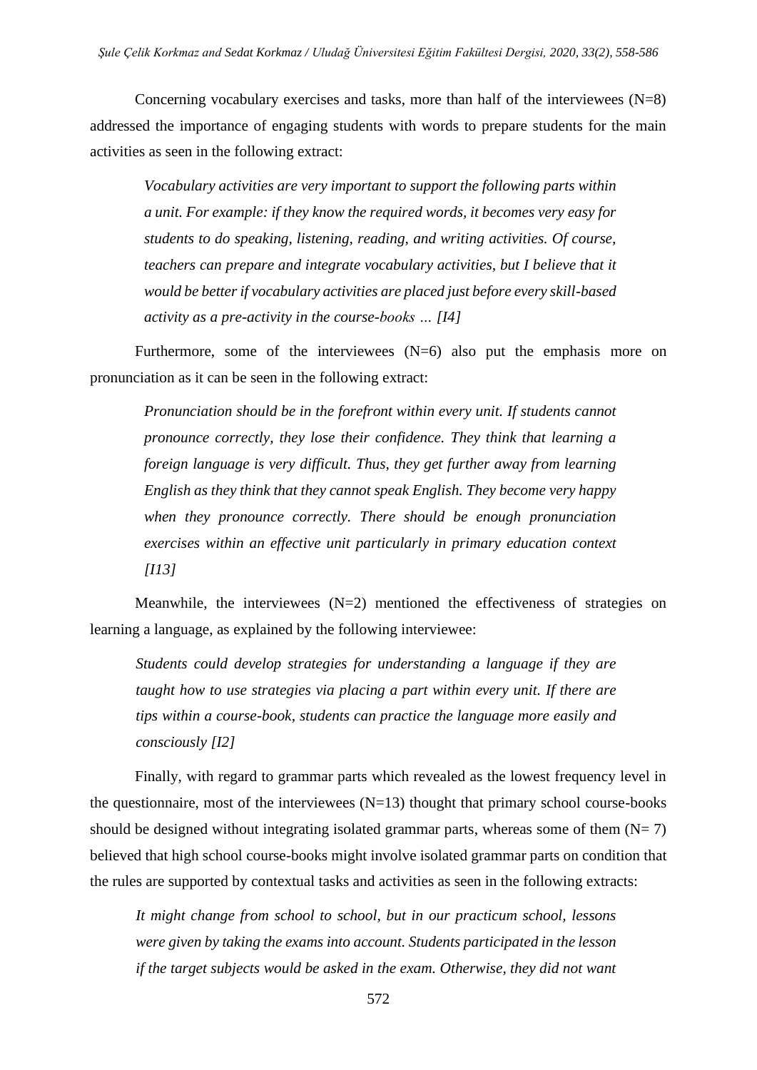Concerning vocabulary exercises and tasks, more than half of the interviewees  $(N=8)$ addressed the importance of engaging students with words to prepare students for the main activities as seen in the following extract:

*Vocabulary activities are very important to support the following parts within a unit. For example: if they know the required words, it becomes very easy for students to do speaking, listening, reading, and writing activities. Of course, teachers can prepare and integrate vocabulary activities, but I believe that it would be better if vocabulary activities are placed just before every skill-based activity as a pre-activity in the course-books … [I4]*

Furthermore, some of the interviewees  $(N=6)$  also put the emphasis more on pronunciation as it can be seen in the following extract:

*Pronunciation should be in the forefront within every unit. If students cannot pronounce correctly, they lose their confidence. They think that learning a foreign language is very difficult. Thus, they get further away from learning English as they think that they cannot speak English. They become very happy when they pronounce correctly. There should be enough pronunciation exercises within an effective unit particularly in primary education context [I13]*

Meanwhile, the interviewees  $(N=2)$  mentioned the effectiveness of strategies on learning a language, as explained by the following interviewee:

*Students could develop strategies for understanding a language if they are taught how to use strategies via placing a part within every unit. If there are tips within a course-book, students can practice the language more easily and consciously [I2]*

Finally, with regard to grammar parts which revealed as the lowest frequency level in the questionnaire, most of the interviewees  $(N=13)$  thought that primary school course-books should be designed without integrating isolated grammar parts, whereas some of them  $(N= 7)$ believed that high school course-books might involve isolated grammar parts on condition that the rules are supported by contextual tasks and activities as seen in the following extracts:

*It might change from school to school, but in our practicum school, lessons were given by taking the exams into account. Students participated in the lesson if the target subjects would be asked in the exam. Otherwise, they did not want* 

572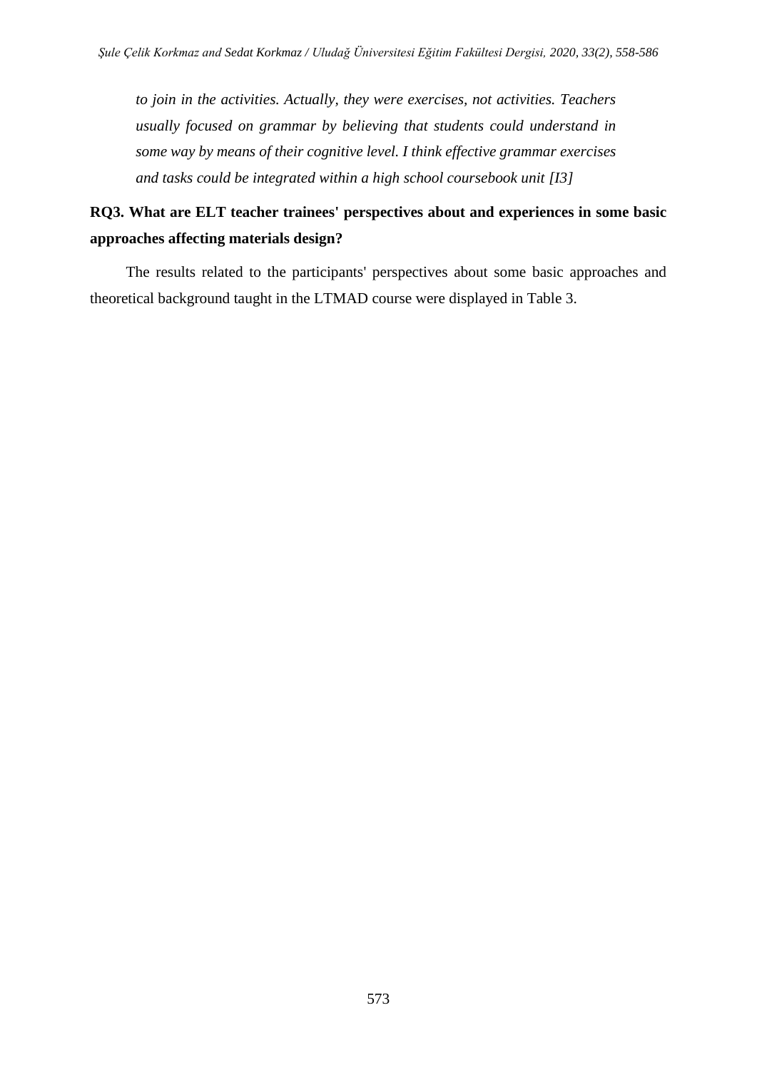*to join in the activities. Actually, they were exercises, not activities. Teachers usually focused on grammar by believing that students could understand in some way by means of their cognitive level. I think effective grammar exercises and tasks could be integrated within a high school coursebook unit [I3]*

# **RQ3. What are ELT teacher trainees' perspectives about and experiences in some basic approaches affecting materials design?**

The results related to the participants' perspectives about some basic approaches and theoretical background taught in the LTMAD course were displayed in Table 3.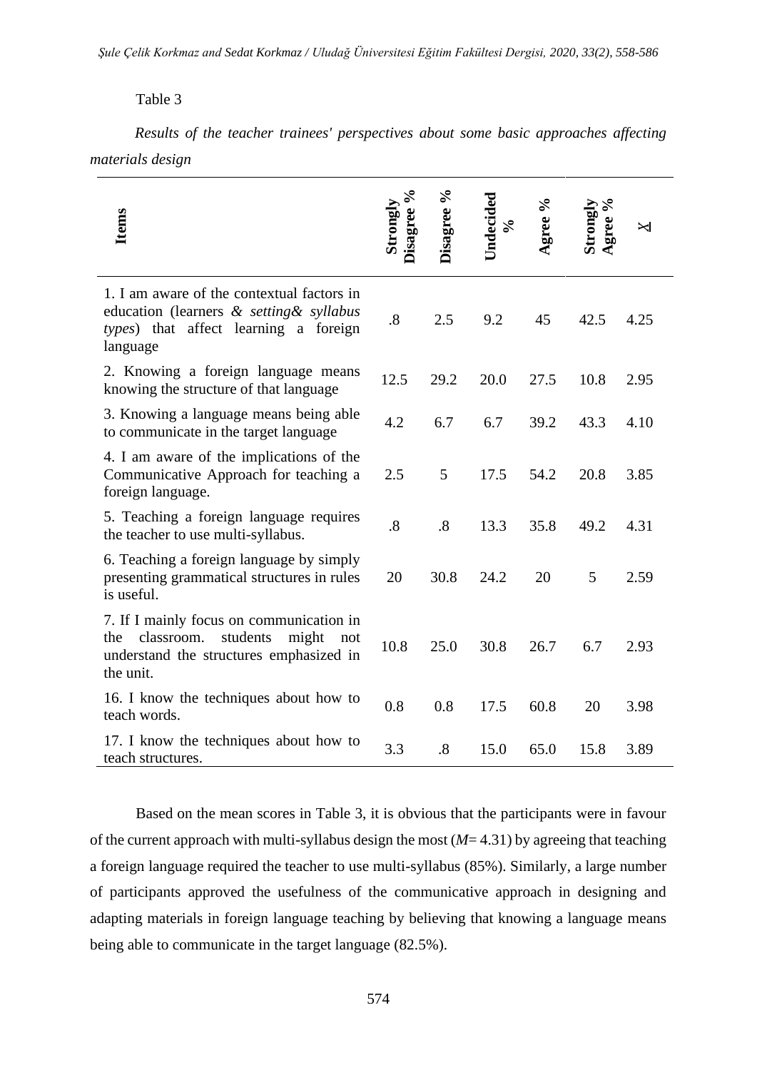*Şule Çelik Korkmaz and Sedat Korkmaz / Uludağ Üniversitesi Eğitim Fakültesi Dergisi, 2020, 33(2), 558-586*

# Table 3

*Results of the teacher trainees' perspectives about some basic approaches affecting materials design*

| <b>Items</b>                                                                                                                                      | sagree %<br>Strongly | Disagree % | Undecided<br>$\mathcal{S}_{\bullet}$ | gree % | gree %<br>Tongly | $\Join$ |
|---------------------------------------------------------------------------------------------------------------------------------------------------|----------------------|------------|--------------------------------------|--------|------------------|---------|
| 1. I am aware of the contextual factors in<br>education (learners & setting & syllabus<br>types) that affect learning a foreign<br>language       | $\boldsymbol{.8}$    | 2.5        | 9.2                                  | 45     | 42.5             | 4.25    |
| 2. Knowing a foreign language means<br>knowing the structure of that language                                                                     | 12.5                 | 29.2       | 20.0                                 | 27.5   | 10.8             | 2.95    |
| 3. Knowing a language means being able<br>to communicate in the target language                                                                   | 4.2                  | 6.7        | 6.7                                  | 39.2   | 43.3             | 4.10    |
| 4. I am aware of the implications of the<br>Communicative Approach for teaching a<br>foreign language.                                            | 2.5                  | 5          | 17.5                                 | 54.2   | 20.8             | 3.85    |
| 5. Teaching a foreign language requires<br>the teacher to use multi-syllabus.                                                                     | .8                   | .8         | 13.3                                 | 35.8   | 49.2             | 4.31    |
| 6. Teaching a foreign language by simply<br>presenting grammatical structures in rules<br>is useful.                                              | 20                   | 30.8       | 24.2                                 | 20     | 5                | 2.59    |
| 7. If I mainly focus on communication in<br>classroom.<br>students<br>the<br>might<br>not<br>understand the structures emphasized in<br>the unit. | 10.8                 | 25.0       | 30.8                                 | 26.7   | 6.7              | 2.93    |
| 16. I know the techniques about how to<br>teach words.                                                                                            | 0.8                  | 0.8        | 17.5                                 | 60.8   | 20               | 3.98    |
| 17. I know the techniques about how to<br>teach structures.                                                                                       | 3.3                  | .8         | 15.0                                 | 65.0   | 15.8             | 3.89    |

Based on the mean scores in Table 3, it is obvious that the participants were in favour of the current approach with multi-syllabus design the most  $(M=4.31)$  by agreeing that teaching a foreign language required the teacher to use multi-syllabus (85%). Similarly, a large number of participants approved the usefulness of the communicative approach in designing and adapting materials in foreign language teaching by believing that knowing a language means being able to communicate in the target language (82.5%).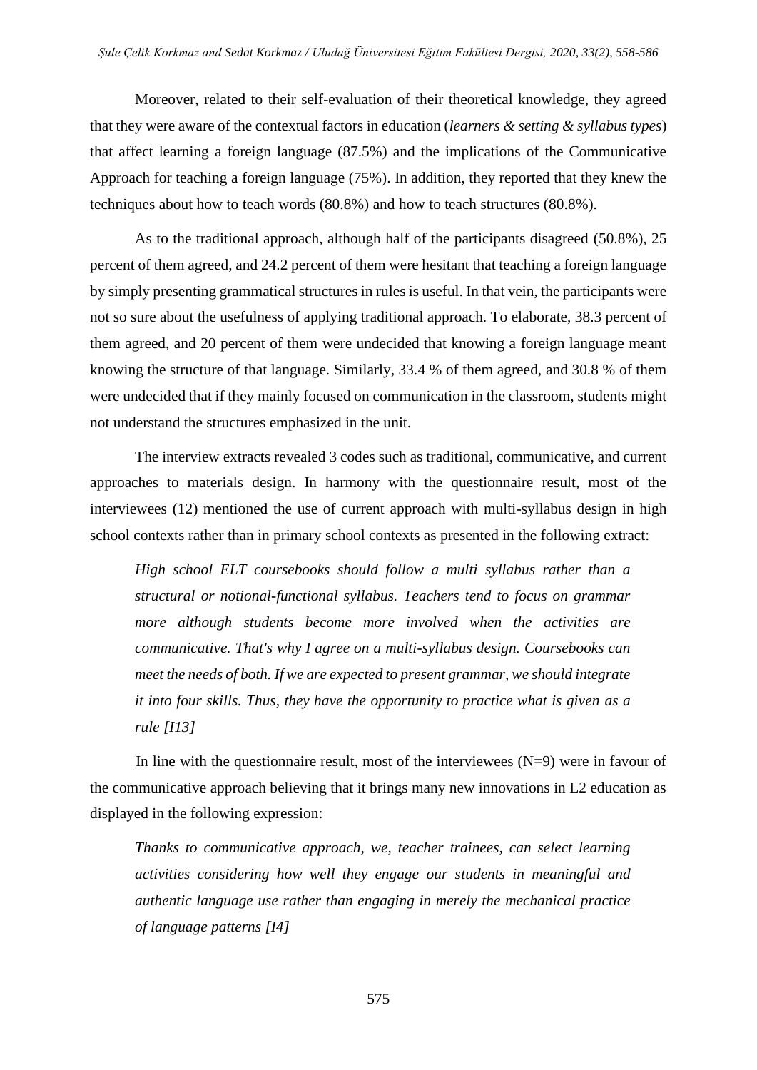Moreover, related to their self-evaluation of their theoretical knowledge, they agreed that they were aware of the contextual factors in education (*learners & setting & syllabus types*) that affect learning a foreign language (87.5%) and the implications of the Communicative Approach for teaching a foreign language (75%). In addition, they reported that they knew the techniques about how to teach words (80.8%) and how to teach structures (80.8%).

As to the traditional approach, although half of the participants disagreed (50.8%), 25 percent of them agreed, and 24.2 percent of them were hesitant that teaching a foreign language by simply presenting grammatical structures in rules is useful. In that vein, the participants were not so sure about the usefulness of applying traditional approach. To elaborate, 38.3 percent of them agreed, and 20 percent of them were undecided that knowing a foreign language meant knowing the structure of that language. Similarly, 33.4 % of them agreed, and 30.8 % of them were undecided that if they mainly focused on communication in the classroom, students might not understand the structures emphasized in the unit.

The interview extracts revealed 3 codes such as traditional, communicative, and current approaches to materials design. In harmony with the questionnaire result, most of the interviewees (12) mentioned the use of current approach with multi-syllabus design in high school contexts rather than in primary school contexts as presented in the following extract:

*High school ELT coursebooks should follow a multi syllabus rather than a structural or notional-functional syllabus. Teachers tend to focus on grammar more although students become more involved when the activities are communicative. That's why I agree on a multi-syllabus design. Coursebooks can meet the needs of both. If we are expected to present grammar, we should integrate it into four skills. Thus, they have the opportunity to practice what is given as a rule [I13]*

In line with the questionnaire result, most of the interviewees  $(N=9)$  were in favour of the communicative approach believing that it brings many new innovations in L2 education as displayed in the following expression:

*Thanks to communicative approach, we, teacher trainees, can select learning activities considering how well they engage our students in meaningful and authentic language use rather than engaging in merely the mechanical practice of language patterns [I4]*

575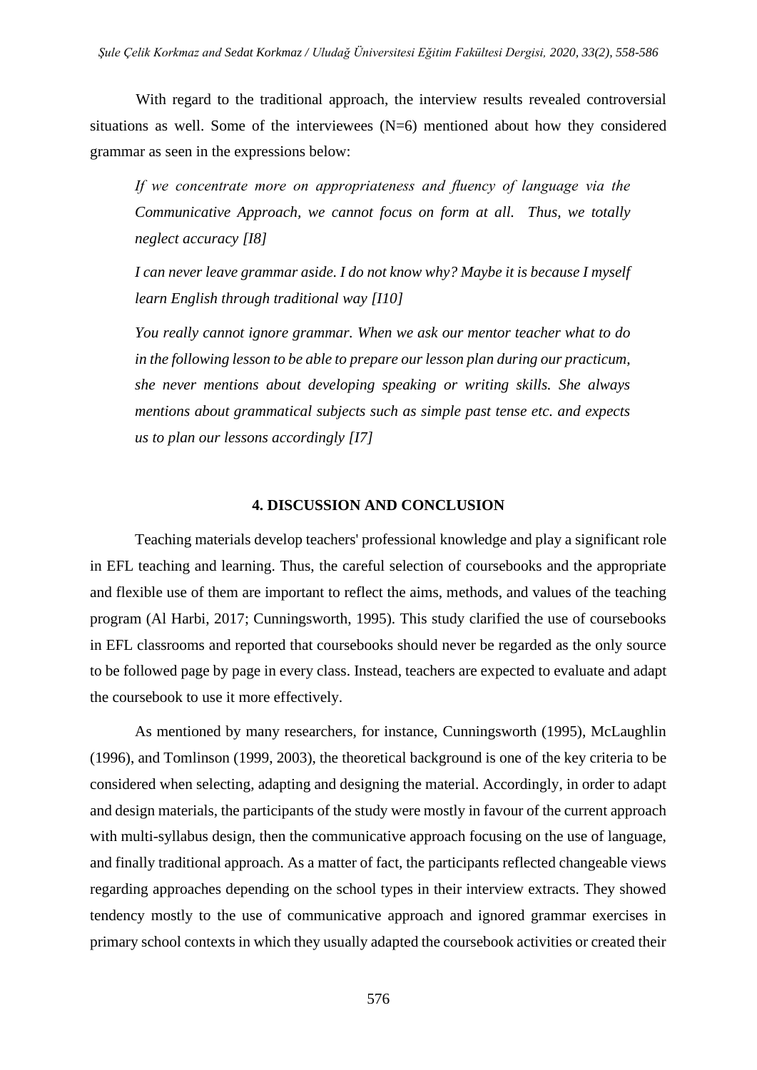With regard to the traditional approach, the interview results revealed controversial situations as well. Some of the interviewees (N=6) mentioned about how they considered grammar as seen in the expressions below:

*If we concentrate more on appropriateness and fluency of language via the Communicative Approach, we cannot focus on form at all. Thus, we totally neglect accuracy [I8]*

*I can never leave grammar aside. I do not know why? Maybe it is because I myself learn English through traditional way [I10]*

*You really cannot ignore grammar. When we ask our mentor teacher what to do in the following lesson to be able to prepare our lesson plan during our practicum, she never mentions about developing speaking or writing skills. She always mentions about grammatical subjects such as simple past tense etc. and expects us to plan our lessons accordingly [I7]*

#### **4. DISCUSSION AND CONCLUSION**

Teaching materials develop teachers' professional knowledge and play a significant role in EFL teaching and learning. Thus, the careful selection of coursebooks and the appropriate and flexible use of them are important to reflect the aims, methods, and values of the teaching program (Al Harbi, 2017; Cunningsworth, 1995). This study clarified the use of coursebooks in EFL classrooms and reported that coursebooks should never be regarded as the only source to be followed page by page in every class. Instead, teachers are expected to evaluate and adapt the coursebook to use it more effectively.

As mentioned by many researchers, for instance, Cunningsworth (1995), McLaughlin (1996), and Tomlinson (1999, 2003), the theoretical background is one of the key criteria to be considered when selecting, adapting and designing the material. Accordingly, in order to adapt and design materials, the participants of the study were mostly in favour of the current approach with multi-syllabus design, then the communicative approach focusing on the use of language, and finally traditional approach. As a matter of fact, the participants reflected changeable views regarding approaches depending on the school types in their interview extracts. They showed tendency mostly to the use of communicative approach and ignored grammar exercises in primary school contexts in which they usually adapted the coursebook activities or created their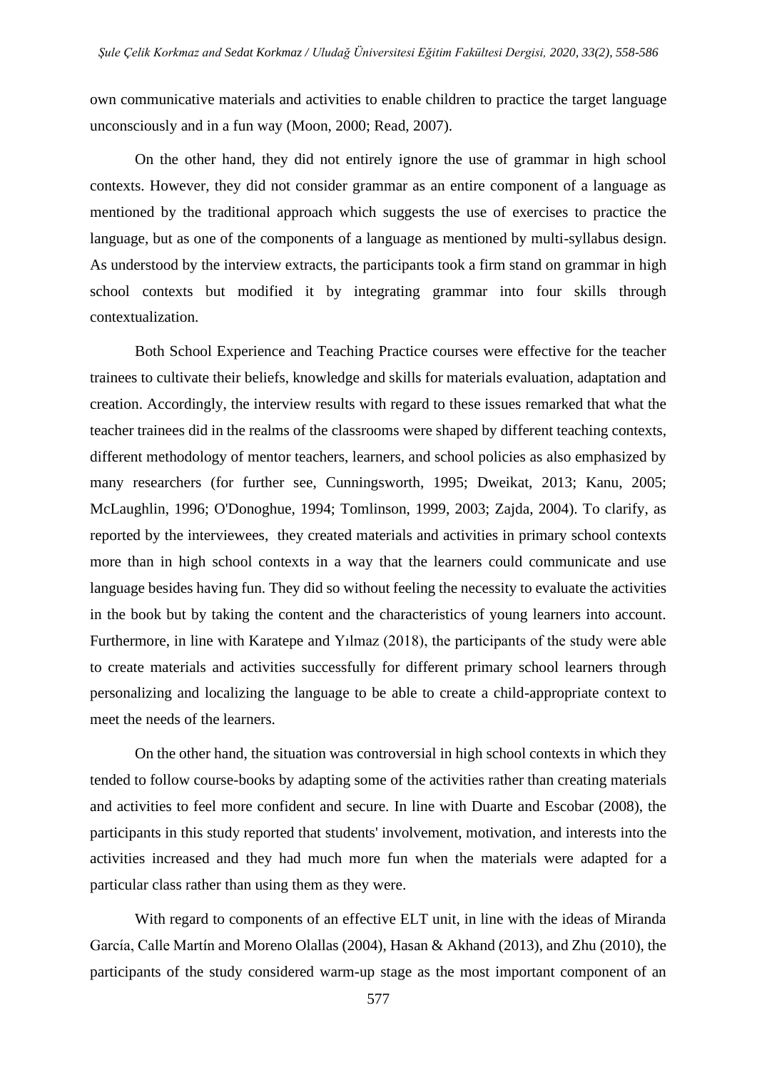own communicative materials and activities to enable children to practice the target language unconsciously and in a fun way (Moon, 2000; Read, 2007).

On the other hand, they did not entirely ignore the use of grammar in high school contexts. However, they did not consider grammar as an entire component of a language as mentioned by the traditional approach which suggests the use of exercises to practice the language, but as one of the components of a language as mentioned by multi-syllabus design. As understood by the interview extracts, the participants took a firm stand on grammar in high school contexts but modified it by integrating grammar into four skills through contextualization.

Both School Experience and Teaching Practice courses were effective for the teacher trainees to cultivate their beliefs, knowledge and skills for materials evaluation, adaptation and creation. Accordingly, the interview results with regard to these issues remarked that what the teacher trainees did in the realms of the classrooms were shaped by different teaching contexts, different methodology of mentor teachers, learners, and school policies as also emphasized by many researchers (for further see, Cunningsworth, 1995; Dweikat, 2013; Kanu, 2005; McLaughlin, 1996; O'Donoghue, 1994; Tomlinson, 1999, 2003; Zajda, 2004). To clarify, as reported by the interviewees, they created materials and activities in primary school contexts more than in high school contexts in a way that the learners could communicate and use language besides having fun. They did so without feeling the necessity to evaluate the activities in the book but by taking the content and the characteristics of young learners into account. Furthermore, in line with Karatepe and Yılmaz (2018), the participants of the study were able to create materials and activities successfully for different primary school learners through personalizing and localizing the language to be able to create a child-appropriate context to meet the needs of the learners.

On the other hand, the situation was controversial in high school contexts in which they tended to follow course-books by adapting some of the activities rather than creating materials and activities to feel more confident and secure. In line with Duarte and Escobar (2008), the participants in this study reported that students' involvement, motivation, and interests into the activities increased and they had much more fun when the materials were adapted for a particular class rather than using them as they were.

With regard to components of an effective ELT unit, in line with the ideas of Miranda García, Calle Martín and Moreno Olallas (2004), Hasan & Akhand (2013), and Zhu (2010), the participants of the study considered warm-up stage as the most important component of an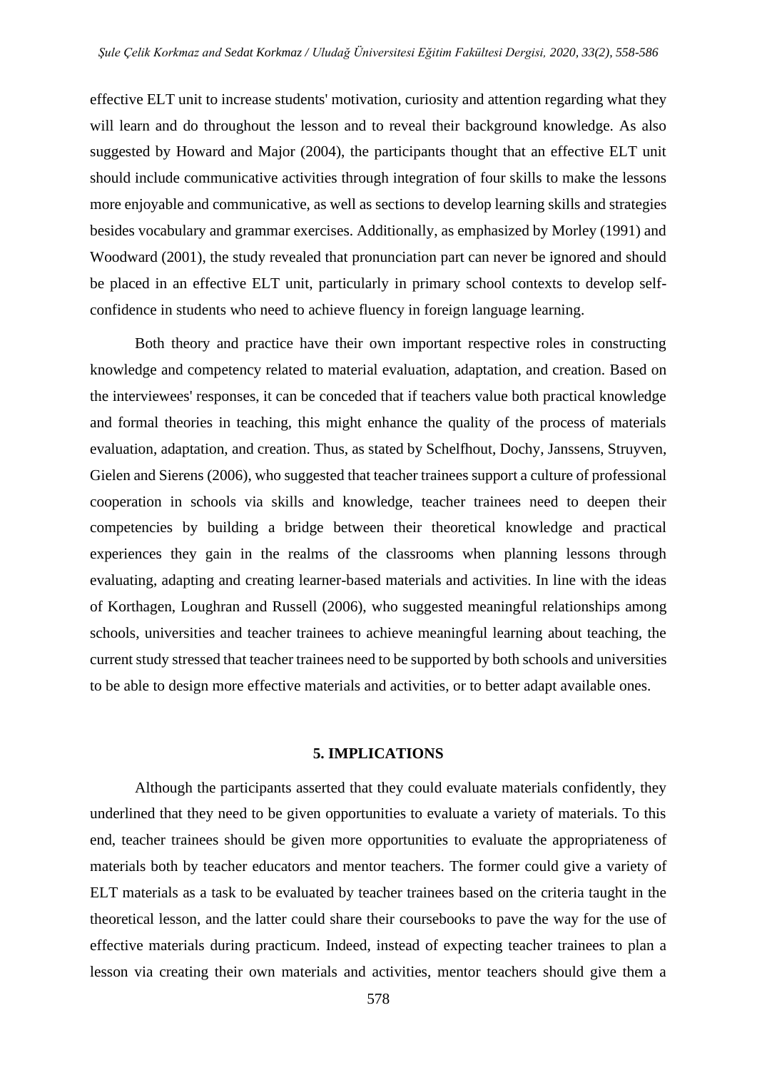effective ELT unit to increase students' motivation, curiosity and attention regarding what they will learn and do throughout the lesson and to reveal their background knowledge. As also suggested by Howard and Major (2004), the participants thought that an effective ELT unit should include communicative activities through integration of four skills to make the lessons more enjoyable and communicative, as well as sections to develop learning skills and strategies besides vocabulary and grammar exercises. Additionally, as emphasized by Morley (1991) and Woodward (2001), the study revealed that pronunciation part can never be ignored and should be placed in an effective ELT unit, particularly in primary school contexts to develop selfconfidence in students who need to achieve fluency in foreign language learning.

Both theory and practice have their own important respective roles in constructing knowledge and competency related to material evaluation, adaptation, and creation. Based on the interviewees' responses, it can be conceded that if teachers value both practical knowledge and formal theories in teaching, this might enhance the quality of the process of materials evaluation, adaptation, and creation. Thus, as stated by Schelfhout, Dochy, Janssens, Struyven, Gielen and Sierens (2006), who suggested that teacher trainees support a culture of professional cooperation in schools via skills and knowledge, teacher trainees need to deepen their competencies by building a bridge between their theoretical knowledge and practical experiences they gain in the realms of the classrooms when planning lessons through evaluating, adapting and creating learner-based materials and activities. In line with the ideas of Korthagen, Loughran and Russell (2006), who suggested meaningful relationships among schools, universities and teacher trainees to achieve meaningful learning about teaching, the current study stressed that teacher trainees need to be supported by both schools and universities to be able to design more effective materials and activities, or to better adapt available ones.

#### **5. IMPLICATIONS**

Although the participants asserted that they could evaluate materials confidently, they underlined that they need to be given opportunities to evaluate a variety of materials. To this end, teacher trainees should be given more opportunities to evaluate the appropriateness of materials both by teacher educators and mentor teachers. The former could give a variety of ELT materials as a task to be evaluated by teacher trainees based on the criteria taught in the theoretical lesson, and the latter could share their coursebooks to pave the way for the use of effective materials during practicum. Indeed, instead of expecting teacher trainees to plan a lesson via creating their own materials and activities, mentor teachers should give them a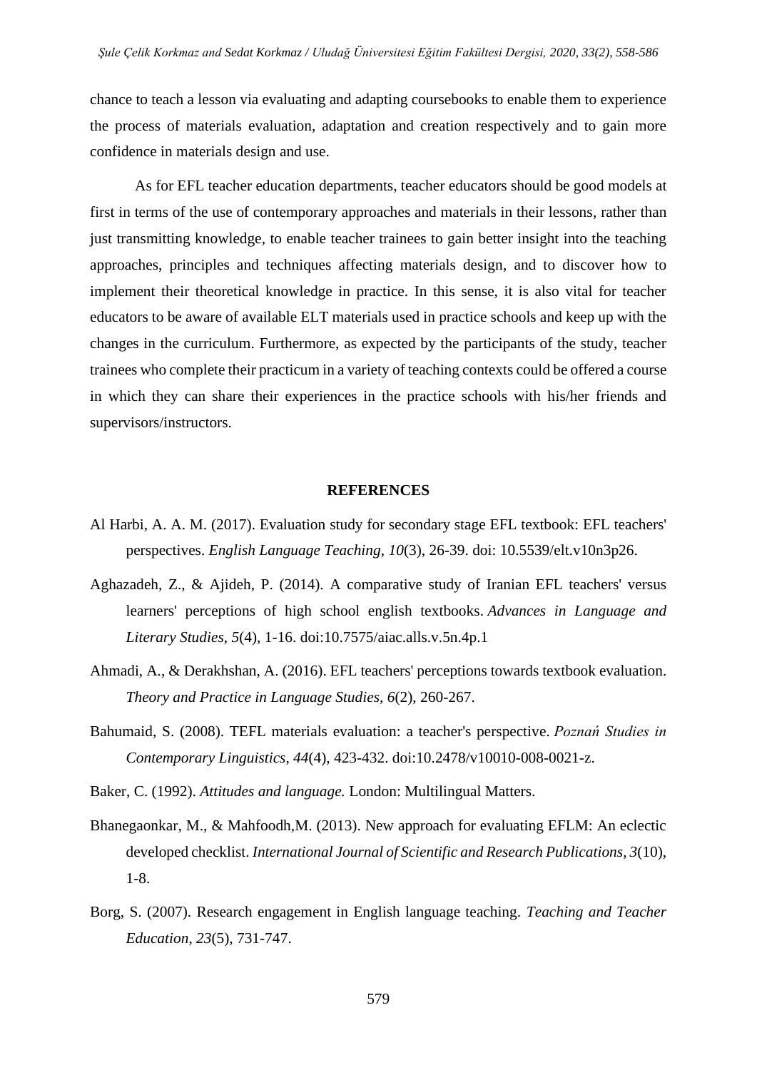chance to teach a lesson via evaluating and adapting coursebooks to enable them to experience the process of materials evaluation, adaptation and creation respectively and to gain more confidence in materials design and use.

As for EFL teacher education departments, teacher educators should be good models at first in terms of the use of contemporary approaches and materials in their lessons, rather than just transmitting knowledge, to enable teacher trainees to gain better insight into the teaching approaches, principles and techniques affecting materials design, and to discover how to implement their theoretical knowledge in practice. In this sense, it is also vital for teacher educators to be aware of available ELT materials used in practice schools and keep up with the changes in the curriculum. Furthermore, as expected by the participants of the study, teacher trainees who complete their practicum in a variety of teaching contexts could be offered a course in which they can share their experiences in the practice schools with his/her friends and supervisors/instructors.

### **REFERENCES**

- Al Harbi, A. A. M. (2017). Evaluation study for secondary stage EFL textbook: EFL teachers' perspectives. *English Language Teaching*, *10*(3), 26-39. doi: 10.5539/elt.v10n3p26.
- Aghazadeh, Z., & Ajideh, P. (2014). A comparative study of Iranian EFL teachers' versus learners' perceptions of high school english textbooks. *Advances in Language and Literary Studies*, *5*(4), 1-16. doi:10.7575/aiac.alls.v.5n.4p.1
- Ahmadi, A., & Derakhshan, A. (2016). EFL teachers' perceptions towards textbook evaluation. *Theory and Practice in Language Studies*, *6*(2), 260-267.
- Bahumaid, S. (2008). TEFL materials evaluation: a teacher's perspective. *Poznań Studies in Contemporary Linguistics*, *44*(4), 423-432. doi:10.2478/v10010-008-0021-z.
- Baker, C. (1992). *Attitudes and language.* London: Multilingual Matters.
- Bhanegaonkar, M., & Mahfoodh,M. (2013). New approach for evaluating EFLM: An eclectic developed checklist. *International Journal of Scientific and Research Publications*, *3*(10), 1-8.
- Borg, S. (2007). Research engagement in English language teaching. *Teaching and Teacher Education*, *23*(5), 731-747.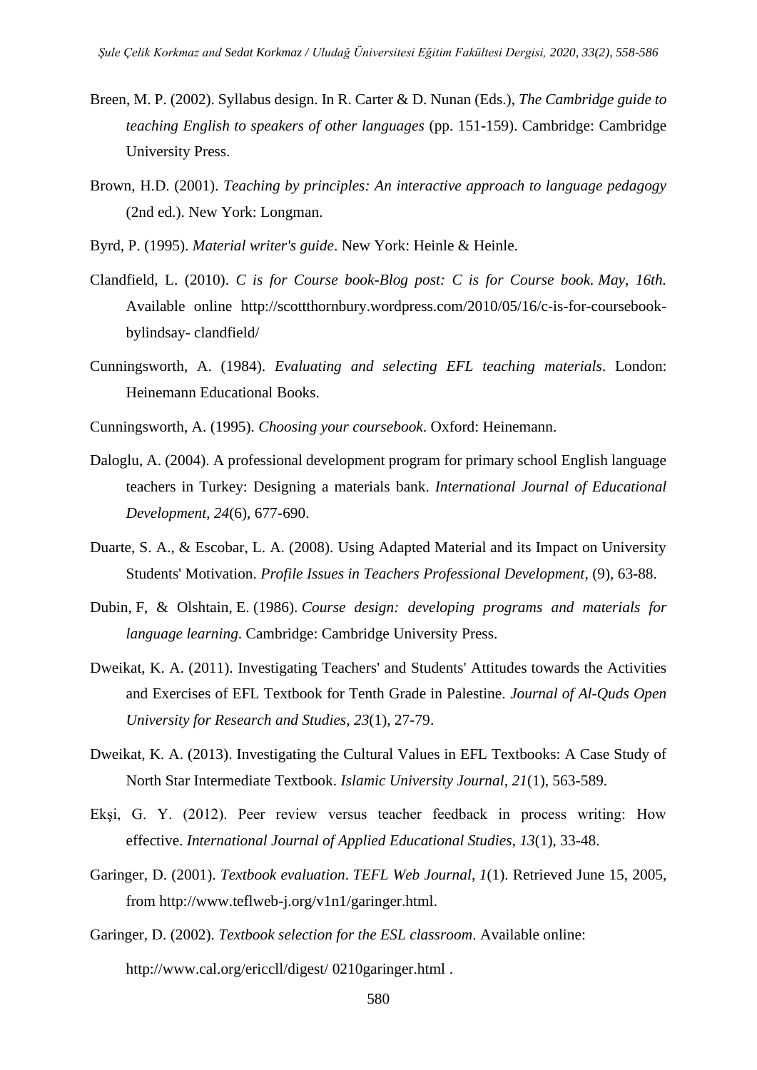- Breen, M. P. (2002). Syllabus design. In R. Carter & D. Nunan (Eds.), *The Cambridge guide to teaching English to speakers of other languages* (pp. 151-159). Cambridge: Cambridge University Press.
- Brown, H.D. (2001). *Teaching by principles: An interactive approach to language pedagogy*  (2nd ed.). New York: Longman.
- Byrd, P. (1995). *Material writer's guide*. New York: Heinle & Heinle.
- Clandfield, L. (2010). *C is for Course book-Blog post: C is for Course book. May, 16th.* Available online [http://scottthornbury.wordpress.com/2010/05/16/c-is-for-coursebook](http://scottthornbury.wordpress.com/2010/05/16/c-is-for-coursebook-bylindsay-%20clandfield/)bylindsay- [clandfield/](http://scottthornbury.wordpress.com/2010/05/16/c-is-for-coursebook-bylindsay-%20clandfield/)
- Cunningsworth, A. (1984). *Evaluating and selecting EFL teaching materials*. London: Heinemann Educational Books.
- Cunningsworth, A. (1995). *Choosing your coursebook*. Oxford: Heinemann.
- Daloglu, A. (2004). A professional development program for primary school English language teachers in Turkey: Designing a materials bank. *International Journal of Educational Development*, *24*(6), 677-690.
- Duarte, S. A., & Escobar, L. A. (2008). Using Adapted Material and its Impact on University Students' Motivation. *Profile Issues in Teachers Professional Development*, (9), 63-88.
- Dubin, F, & Olshtain, E. (1986). *Course design: developing programs and materials for language learning*. Cambridge: Cambridge University Press.
- Dweikat, K. A. (2011). Investigating Teachers' and Students' Attitudes towards the Activities and Exercises of EFL Textbook for Tenth Grade in Palestine. *Journal of Al-Quds Open University for Research and Studies*, *23*(1), 27-79.
- Dweikat, K. A. (2013). Investigating the Cultural Values in EFL Textbooks: A Case Study of North Star Intermediate Textbook. *Islamic University Journal, 21*(1), 563-589.
- Ekşi, G. Y. (2012). Peer review versus teacher feedback in process writing: How effective. *International Journal of Applied Educational Studies*, *13*(1), 33-48.
- Garinger, D. (2001). *Textbook evaluation*. *TEFL Web Journal*, *1*(1). Retrieved June 15, 2005, from http://www.teflweb-j.org/v1n1/garinger.html.
- Garinger, D. (2002). *Textbook selection for the ESL classroom*. Available online: http://www.cal.org/ericcll/digest/ 0210garinger.html .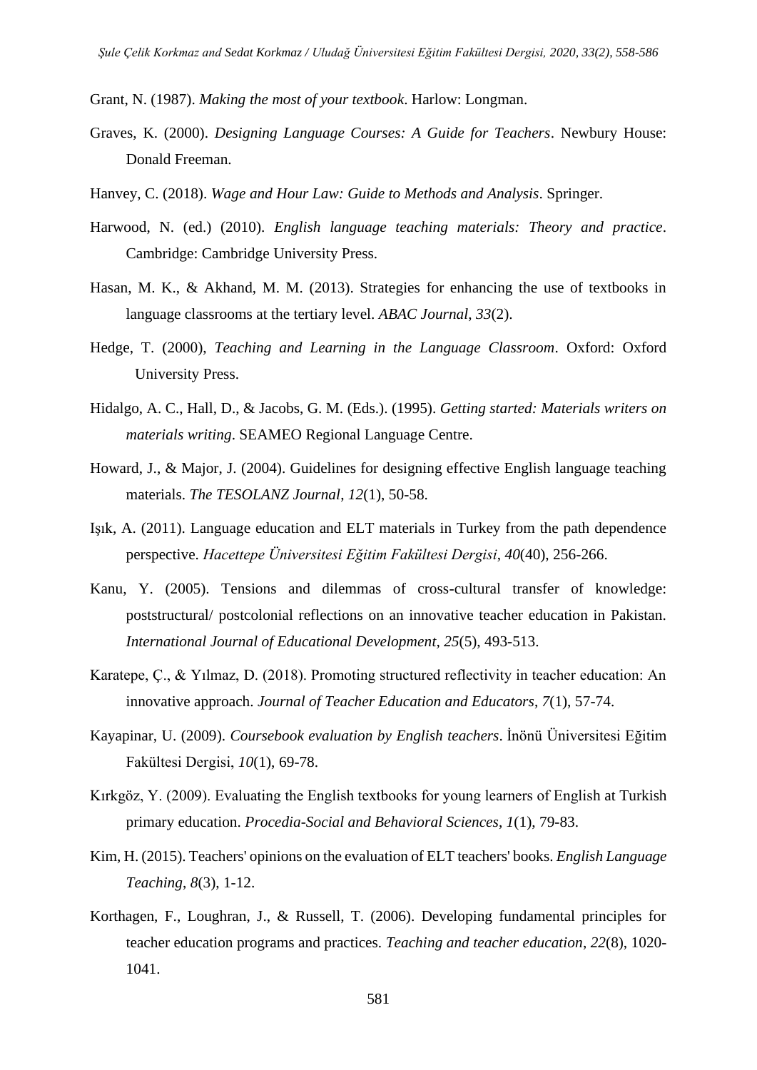- Grant, N. (1987). *Making the most of your textbook*. Harlow: Longman.
- Graves, K. (2000). *Designing Language Courses: A Guide for Teachers*. Newbury House: Donald Freeman.
- Hanvey, C. (2018). *Wage and Hour Law: Guide to Methods and Analysis*. Springer.
- Harwood, N. (ed.) (2010). *English language teaching materials: Theory and practice*. Cambridge: Cambridge University Press.
- Hasan, M. K., & Akhand, M. M. (2013). Strategies for enhancing the use of textbooks in language classrooms at the tertiary level. *ABAC Journal*, *33*(2).
- Hedge, T. (2000), *Teaching and Learning in the Language Classroom*. Oxford: Oxford University Press.
- Hidalgo, A. C., Hall, D., & Jacobs, G. M. (Eds.). (1995). *Getting started: Materials writers on materials writing*. SEAMEO Regional Language Centre.
- Howard, J., & Major, J. (2004). Guidelines for designing effective English language teaching materials. *The TESOLANZ Journal*, *12*(1), 50-58.
- Işık, A. (2011). Language education and ELT materials in Turkey from the path dependence perspective. *Hacettepe Üniversitesi Eğitim Fakültesi Dergisi*, *40*(40), 256-266.
- Kanu, Y. (2005). Tensions and dilemmas of cross-cultural transfer of knowledge: poststructural/ postcolonial reflections on an innovative teacher education in Pakistan. *International Journal of Educational Development, 25*(5), 493-513.
- Karatepe, Ç., & Yılmaz, D. (2018). Promoting structured reflectivity in teacher education: An innovative approach. *Journal of Teacher Education and Educators*, *7*(1), 57-74.
- Kayapinar, U. (2009). *Coursebook evaluation by English teachers*. İnönü Üniversitesi Eğitim Fakültesi Dergisi, *10*(1), 69-78.
- Kırkgöz, Y. (2009). Evaluating the English textbooks for young learners of English at Turkish primary education. *Procedia-Social and Behavioral Sciences*, *1*(1), 79-83.
- Kim, H. (2015). Teachers' opinions on the evaluation of ELT teachers' books. *English Language Teaching*, *8*(3), 1-12.
- Korthagen, F., Loughran, J., & Russell, T. (2006). Developing fundamental principles for teacher education programs and practices. *Teaching and teacher education*, *22*(8), 1020- 1041.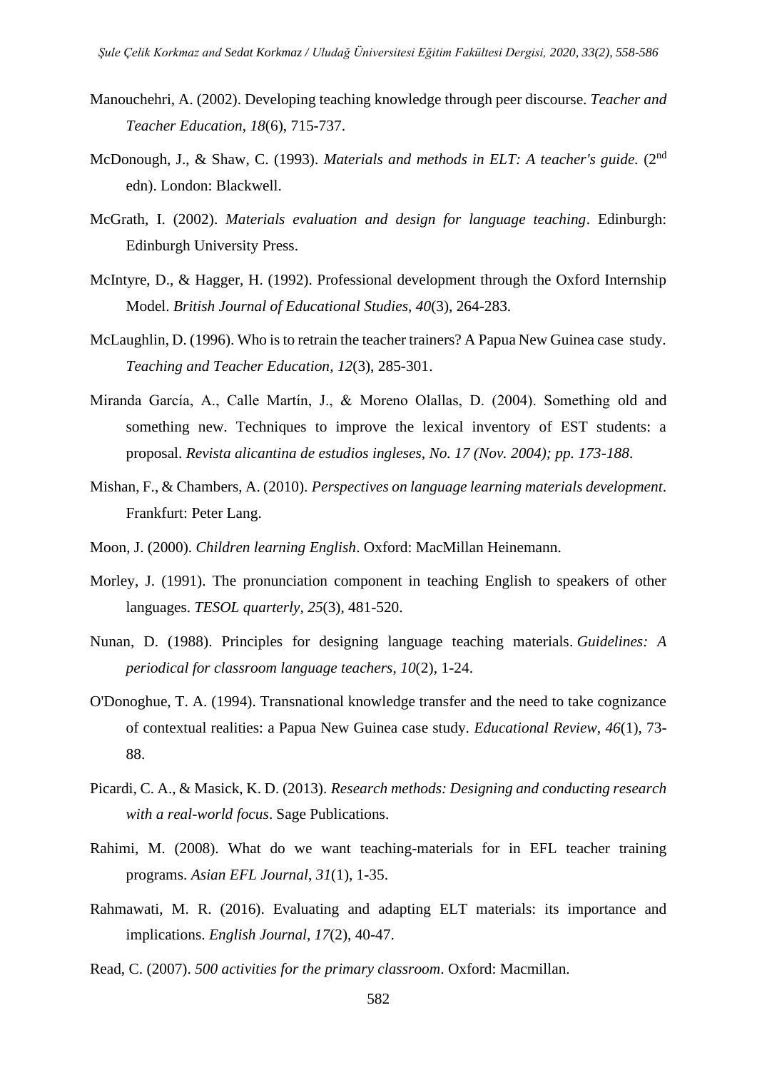- Manouchehri, A. (2002). Developing teaching knowledge through peer discourse. *Teacher and Teacher Education*, *18*(6), 715-737.
- McDonough, J., & Shaw, C. (1993). *Materials and methods in ELT: A teacher's guide.* (2nd edn). London: Blackwell.
- McGrath, I. (2002). *Materials evaluation and design for language teaching*. Edinburgh: Edinburgh University Press.
- McIntyre, D., & Hagger, H. (1992). Professional development through the Oxford Internship Model. *British Journal of Educational Studies*, *40*(3), 264-283.
- McLaughlin, D. (1996). Who is to retrain the teacher trainers? A Papua New Guinea case study. *Teaching and Teacher Education, 12*(3), 285-301.
- Miranda García, A., Calle Martín, J., & Moreno Olallas, D. (2004). Something old and something new. Techniques to improve the lexical inventory of EST students: a proposal. *Revista alicantina de estudios ingleses, No. 17 (Nov. 2004); pp. 173-188*.
- Mishan, F., & Chambers, A. (2010). *Perspectives on language learning materials development*. Frankfurt: Peter Lang.
- Moon, J. (2000). *Children learning English*. Oxford: MacMillan Heinemann.
- Morley, J. (1991). The pronunciation component in teaching English to speakers of other languages. *TESOL quarterly, 25*(3), 481-520.
- Nunan, D. (1988). Principles for designing language teaching materials. *Guidelines: A periodical for classroom language teachers*, *10*(2), 1-24.
- O'Donoghue, T. A. (1994). Transnational knowledge transfer and the need to take cognizance of contextual realities: a Papua New Guinea case study. *Educational Review*, *46*(1), 73- 88.
- Picardi, C. A., & Masick, K. D. (2013). *Research methods: Designing and conducting research with a real-world focus*. Sage Publications.
- Rahimi, M. (2008). What do we want teaching-materials for in EFL teacher training programs. *Asian EFL Journal*, *31*(1), 1-35.
- Rahmawati, M. R. (2016). Evaluating and adapting ELT materials: its importance and implications. *English Journal*, *17*(2), 40-47.
- Read, C. (2007). *500 activities for the primary classroom*. Oxford: Macmillan.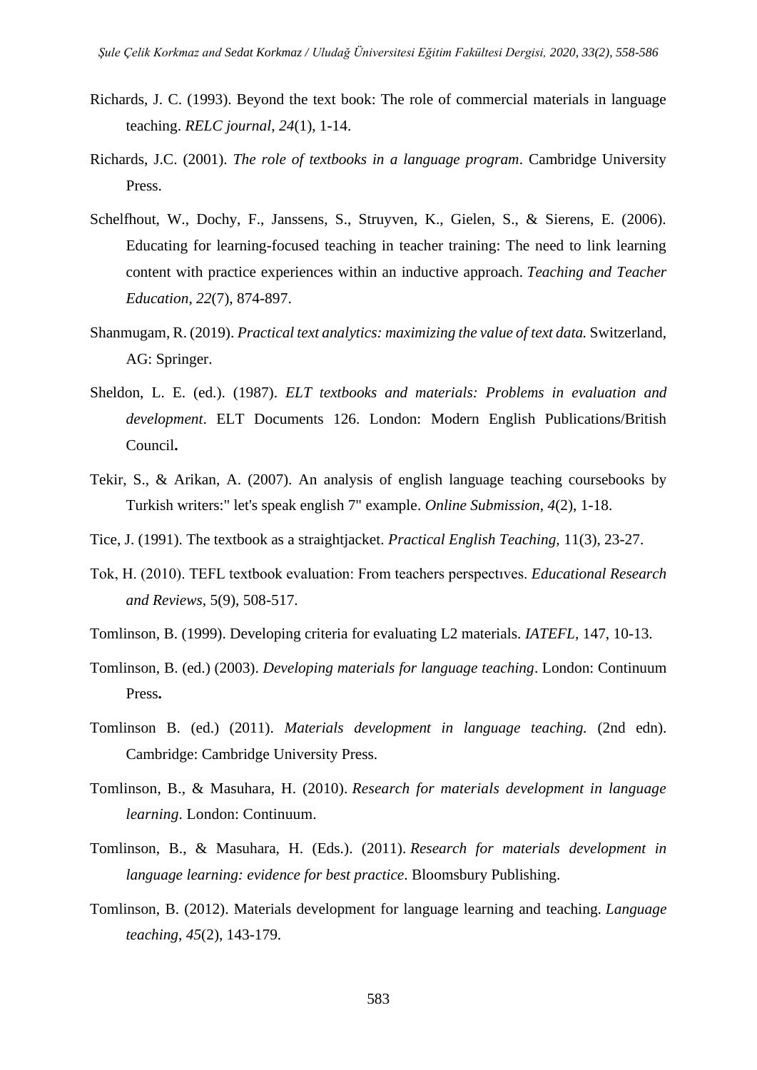- Richards, J. C. (1993). Beyond the text book: The role of commercial materials in language teaching. *RELC journal*, *24*(1), 1-14.
- Richards, J.C. (2001). *The role of textbooks in a language program*. Cambridge University Press.
- Schelfhout, W., Dochy, F., Janssens, S., Struyven, K., Gielen, S., & Sierens, E. (2006). Educating for learning-focused teaching in teacher training: The need to link learning content with practice experiences within an inductive approach. *Teaching and Teacher Education*, *22*(7), 874-897.
- Shanmugam, R. (2019). *Practical text analytics: maximizing the value of text data.* Switzerland, AG: Springer.
- Sheldon, L. E. (ed.). (1987). *ELT textbooks and materials: Problems in evaluation and development*. ELT Documents 126. London: Modern English Publications/British Council**.**
- Tekir, S., & Arikan, A. (2007). An analysis of english language teaching coursebooks by Turkish writers:" let's speak english 7" example. *Online Submission*, *4*(2), 1-18.
- Tice, J. (1991). The textbook as a straightjacket. *Practical English Teaching,* 11(3), 23-27.
- Tok, H. (2010). TEFL textbook evaluation: From teachers perspectıves. *Educational Research and Reviews*, 5(9), 508-517.
- Tomlinson, B. (1999). Developing criteria for evaluating L2 materials. *IATEFL,* 147, 10-13.
- Tomlinson, B. (ed.) (2003). *Developing materials for language teaching*. London: Continuum Press**.**
- Tomlinson B. (ed.) (2011). *Materials development in language teaching.* (2nd edn). Cambridge: Cambridge University Press.
- Tomlinson, B., & Masuhara, H. (2010). *Research for materials development in language learning*. London: Continuum.
- Tomlinson, B., & Masuhara, H. (Eds.). (2011). *Research for materials development in language learning: evidence for best practice*. Bloomsbury Publishing.
- Tomlinson, B. (2012). Materials development for language learning and teaching. *Language teaching*, *45*(2), 143-179.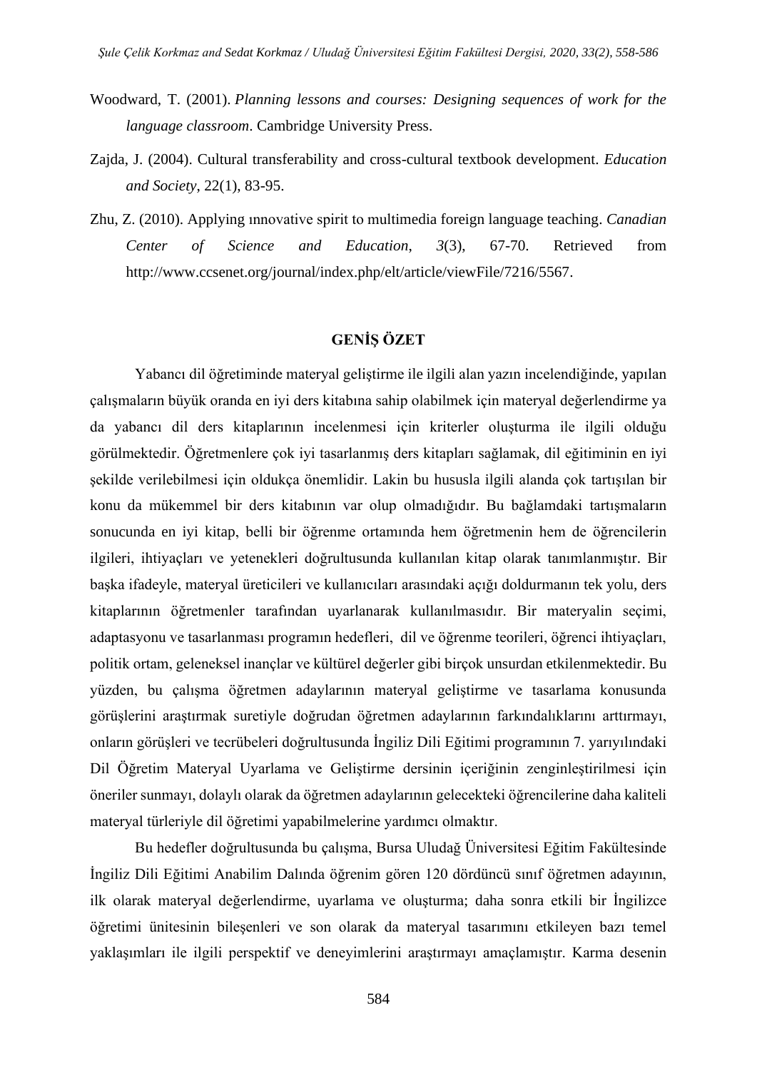- Woodward, T. (2001). *Planning lessons and courses: Designing sequences of work for the language classroom*. Cambridge University Press.
- Zajda, J. (2004). Cultural transferability and cross-cultural textbook development. *Education and Society*, 22(1), 83-95.
- Zhu, Z. (2010). Applying ınnovative spirit to multimedia foreign language teaching. *Canadian Center of Science and Education*, *3*(3), 67-70. Retrieved from [http://www.ccsenet.org/journal/index.php/elt/article/viewFile/7216/5567.](http://www.ccsenet.org/journal/index.php/elt/article/viewFile/7216/5567)

# **GENİŞ ÖZET**

Yabancı dil öğretiminde materyal geliştirme ile ilgili alan yazın incelendiğinde, yapılan çalışmaların büyük oranda en iyi ders kitabına sahip olabilmek için materyal değerlendirme ya da yabancı dil ders kitaplarının incelenmesi için kriterler oluşturma ile ilgili olduğu görülmektedir. Öğretmenlere çok iyi tasarlanmış ders kitapları sağlamak, dil eğitiminin en iyi şekilde verilebilmesi için oldukça önemlidir. Lakin bu hususla ilgili alanda çok tartışılan bir konu da mükemmel bir ders kitabının var olup olmadığıdır. Bu bağlamdaki tartışmaların sonucunda en iyi kitap, belli bir öğrenme ortamında hem öğretmenin hem de öğrencilerin ilgileri, ihtiyaçları ve yetenekleri doğrultusunda kullanılan kitap olarak tanımlanmıştır. Bir başka ifadeyle, materyal üreticileri ve kullanıcıları arasındaki açığı doldurmanın tek yolu, ders kitaplarının öğretmenler tarafından uyarlanarak kullanılmasıdır. Bir materyalin seçimi, adaptasyonu ve tasarlanması programın hedefleri, dil ve öğrenme teorileri, öğrenci ihtiyaçları, politik ortam, geleneksel inançlar ve kültürel değerler gibi birçok unsurdan etkilenmektedir. Bu yüzden, bu çalışma öğretmen adaylarının materyal geliştirme ve tasarlama konusunda görüşlerini araştırmak suretiyle doğrudan öğretmen adaylarının farkındalıklarını arttırmayı, onların görüşleri ve tecrübeleri doğrultusunda İngiliz Dili Eğitimi programının 7. yarıyılındaki Dil Öğretim Materyal Uyarlama ve Geliştirme dersinin içeriğinin zenginleştirilmesi için öneriler sunmayı, dolaylı olarak da öğretmen adaylarının gelecekteki öğrencilerine daha kaliteli materyal türleriyle dil öğretimi yapabilmelerine yardımcı olmaktır.

Bu hedefler doğrultusunda bu çalışma, Bursa Uludağ Üniversitesi Eğitim Fakültesinde İngiliz Dili Eğitimi Anabilim Dalında öğrenim gören 120 dördüncü sınıf öğretmen adayının, ilk olarak materyal değerlendirme, uyarlama ve oluşturma; daha sonra etkili bir İngilizce öğretimi ünitesinin bileşenleri ve son olarak da materyal tasarımını etkileyen bazı temel yaklaşımları ile ilgili perspektif ve deneyimlerini araştırmayı amaçlamıştır. Karma desenin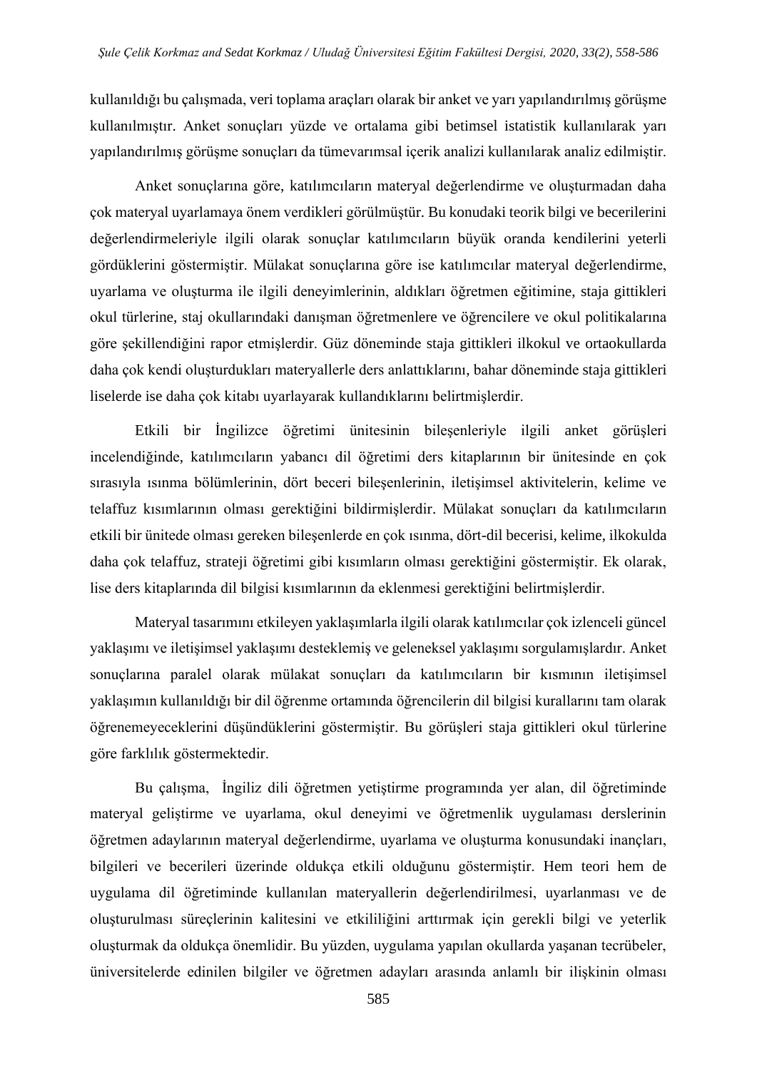kullanıldığı bu çalışmada, veri toplama araçları olarak bir anket ve yarı yapılandırılmış görüşme kullanılmıştır. Anket sonuçları yüzde ve ortalama gibi betimsel istatistik kullanılarak yarı yapılandırılmış görüşme sonuçları da tümevarımsal içerik analizi kullanılarak analiz edilmiştir.

Anket sonuçlarına göre, katılımcıların materyal değerlendirme ve oluşturmadan daha çok materyal uyarlamaya önem verdikleri görülmüştür. Bu konudaki teorik bilgi ve becerilerini değerlendirmeleriyle ilgili olarak sonuçlar katılımcıların büyük oranda kendilerini yeterli gördüklerini göstermiştir. Mülakat sonuçlarına göre ise katılımcılar materyal değerlendirme, uyarlama ve oluşturma ile ilgili deneyimlerinin, aldıkları öğretmen eğitimine, staja gittikleri okul türlerine, staj okullarındaki danışman öğretmenlere ve öğrencilere ve okul politikalarına göre şekillendiğini rapor etmişlerdir. Güz döneminde staja gittikleri ilkokul ve ortaokullarda daha çok kendi oluşturdukları materyallerle ders anlattıklarını, bahar döneminde staja gittikleri liselerde ise daha çok kitabı uyarlayarak kullandıklarını belirtmişlerdir.

Etkili bir İngilizce öğretimi ünitesinin bileşenleriyle ilgili anket görüşleri incelendiğinde, katılımcıların yabancı dil öğretimi ders kitaplarının bir ünitesinde en çok sırasıyla ısınma bölümlerinin, dört beceri bileşenlerinin, iletişimsel aktivitelerin, kelime ve telaffuz kısımlarının olması gerektiğini bildirmişlerdir. Mülakat sonuçları da katılımcıların etkili bir ünitede olması gereken bileşenlerde en çok ısınma, dört-dil becerisi, kelime, ilkokulda daha çok telaffuz, strateji öğretimi gibi kısımların olması gerektiğini göstermiştir. Ek olarak, lise ders kitaplarında dil bilgisi kısımlarının da eklenmesi gerektiğini belirtmişlerdir.

Materyal tasarımını etkileyen yaklaşımlarla ilgili olarak katılımcılar çok izlenceli güncel yaklaşımı ve iletişimsel yaklaşımı desteklemiş ve geleneksel yaklaşımı sorgulamışlardır. Anket sonuçlarına paralel olarak mülakat sonuçları da katılımcıların bir kısmının iletişimsel yaklaşımın kullanıldığı bir dil öğrenme ortamında öğrencilerin dil bilgisi kurallarını tam olarak öğrenemeyeceklerini düşündüklerini göstermiştir. Bu görüşleri staja gittikleri okul türlerine göre farklılık göstermektedir.

Bu çalışma, İngiliz dili öğretmen yetiştirme programında yer alan, dil öğretiminde materyal geliştirme ve uyarlama, okul deneyimi ve öğretmenlik uygulaması derslerinin öğretmen adaylarının materyal değerlendirme, uyarlama ve oluşturma konusundaki inançları, bilgileri ve becerileri üzerinde oldukça etkili olduğunu göstermiştir. Hem teori hem de uygulama dil öğretiminde kullanılan materyallerin değerlendirilmesi, uyarlanması ve de oluşturulması süreçlerinin kalitesini ve etkililiğini arttırmak için gerekli bilgi ve yeterlik oluşturmak da oldukça önemlidir. Bu yüzden, uygulama yapılan okullarda yaşanan tecrübeler, üniversitelerde edinilen bilgiler ve öğretmen adayları arasında anlamlı bir ilişkinin olması